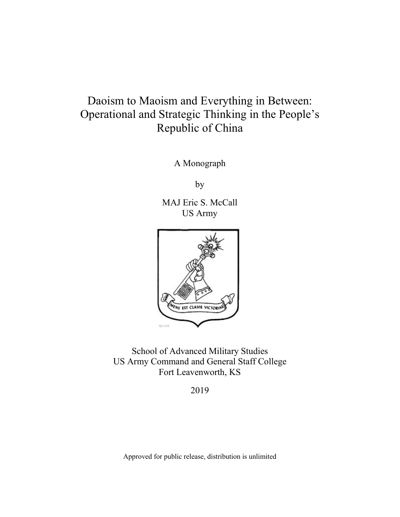# Operational and Strategic Thinking in the People's Daoism to Maoism and Everything in Between: Republic of China

A Monograph

by

MAJ Eric S. McCall US Army



 School of Advanced Military Studies US Army Command and General Staff College Fort Leavenworth, KS

2019

Approved for public release, distribution is unlimited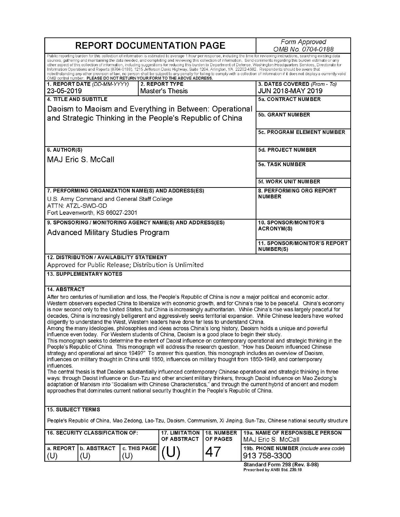| <b>REPORT DOCUMENTATION PAGE</b>                                                                                                                                                                                                                                                                                                                                                                                                                                                                                                                                                                                                                                                                                                                                                                                                                                                                                                                                                                                                                                                                                                                                                                                                                                                                                                                                                                                                                                                          |  |              |                                             | Form Approved<br>OMB No. 0704-0188                      |                                                                                                                                                                                                                                                                                                                                                                                                                                                                                                                                                                                                                                                                                                                                                                                                                                                                                       |
|-------------------------------------------------------------------------------------------------------------------------------------------------------------------------------------------------------------------------------------------------------------------------------------------------------------------------------------------------------------------------------------------------------------------------------------------------------------------------------------------------------------------------------------------------------------------------------------------------------------------------------------------------------------------------------------------------------------------------------------------------------------------------------------------------------------------------------------------------------------------------------------------------------------------------------------------------------------------------------------------------------------------------------------------------------------------------------------------------------------------------------------------------------------------------------------------------------------------------------------------------------------------------------------------------------------------------------------------------------------------------------------------------------------------------------------------------------------------------------------------|--|--------------|---------------------------------------------|---------------------------------------------------------|---------------------------------------------------------------------------------------------------------------------------------------------------------------------------------------------------------------------------------------------------------------------------------------------------------------------------------------------------------------------------------------------------------------------------------------------------------------------------------------------------------------------------------------------------------------------------------------------------------------------------------------------------------------------------------------------------------------------------------------------------------------------------------------------------------------------------------------------------------------------------------------|
| OMB control number. PLEASE DO NOT RETURN YOUR FORM TO THE ABOVE ADDRESS.                                                                                                                                                                                                                                                                                                                                                                                                                                                                                                                                                                                                                                                                                                                                                                                                                                                                                                                                                                                                                                                                                                                                                                                                                                                                                                                                                                                                                  |  |              |                                             |                                                         | Public reporting burden for this collection of information is estimated to average 1 hour per response, including the time for reviewing instructions, searching existing data<br>sources, gathering and maintaining the data needed, and completing and reviewing this collection of information. Send comments regarding this burden estimate or any<br>other aspect of this collection of information, including suggestions for reducing this burden to Department of Defense, Washington Headquarters Services, Directorate for<br>Information Operations and Reports (0704-0188), 1215 Jefferson Davis Highway, Suite 1204, Arlington, VA 22202-4302. Respondents should be aware that<br>notwithstanding any other provision of law, no person shall be subject to any penalty for failing to comply with a collection of information if it does not display a currently valid |
| 1. REPORT DATE (DD-MM-YYYY)<br>23-05-2019                                                                                                                                                                                                                                                                                                                                                                                                                                                                                                                                                                                                                                                                                                                                                                                                                                                                                                                                                                                                                                                                                                                                                                                                                                                                                                                                                                                                                                                 |  |              | 2. REPORT TYPE<br>Master's Thesis           |                                                         | 3. DATES COVERED (From - To)<br><b>JUN 2018-MAY 2019</b>                                                                                                                                                                                                                                                                                                                                                                                                                                                                                                                                                                                                                                                                                                                                                                                                                              |
| <b>4. TITLE AND SUBTITLE</b>                                                                                                                                                                                                                                                                                                                                                                                                                                                                                                                                                                                                                                                                                                                                                                                                                                                                                                                                                                                                                                                                                                                                                                                                                                                                                                                                                                                                                                                              |  |              |                                             |                                                         | <b>5a. CONTRACT NUMBER</b>                                                                                                                                                                                                                                                                                                                                                                                                                                                                                                                                                                                                                                                                                                                                                                                                                                                            |
| Daoism to Maoism and Everything in Between: Operational                                                                                                                                                                                                                                                                                                                                                                                                                                                                                                                                                                                                                                                                                                                                                                                                                                                                                                                                                                                                                                                                                                                                                                                                                                                                                                                                                                                                                                   |  |              |                                             |                                                         |                                                                                                                                                                                                                                                                                                                                                                                                                                                                                                                                                                                                                                                                                                                                                                                                                                                                                       |
| and Strategic Thinking in the People's Republic of China                                                                                                                                                                                                                                                                                                                                                                                                                                                                                                                                                                                                                                                                                                                                                                                                                                                                                                                                                                                                                                                                                                                                                                                                                                                                                                                                                                                                                                  |  |              |                                             |                                                         | <b>5b. GRANT NUMBER</b>                                                                                                                                                                                                                                                                                                                                                                                                                                                                                                                                                                                                                                                                                                                                                                                                                                                               |
|                                                                                                                                                                                                                                                                                                                                                                                                                                                                                                                                                                                                                                                                                                                                                                                                                                                                                                                                                                                                                                                                                                                                                                                                                                                                                                                                                                                                                                                                                           |  |              |                                             | 5c. PROGRAM ELEMENT NUMBER                              |                                                                                                                                                                                                                                                                                                                                                                                                                                                                                                                                                                                                                                                                                                                                                                                                                                                                                       |
| 6. AUTHOR(S)                                                                                                                                                                                                                                                                                                                                                                                                                                                                                                                                                                                                                                                                                                                                                                                                                                                                                                                                                                                                                                                                                                                                                                                                                                                                                                                                                                                                                                                                              |  |              |                                             |                                                         | 5d. PROJECT NUMBER                                                                                                                                                                                                                                                                                                                                                                                                                                                                                                                                                                                                                                                                                                                                                                                                                                                                    |
| <b>MAJ Eric S. McCall</b>                                                                                                                                                                                                                                                                                                                                                                                                                                                                                                                                                                                                                                                                                                                                                                                                                                                                                                                                                                                                                                                                                                                                                                                                                                                                                                                                                                                                                                                                 |  |              |                                             |                                                         |                                                                                                                                                                                                                                                                                                                                                                                                                                                                                                                                                                                                                                                                                                                                                                                                                                                                                       |
|                                                                                                                                                                                                                                                                                                                                                                                                                                                                                                                                                                                                                                                                                                                                                                                                                                                                                                                                                                                                                                                                                                                                                                                                                                                                                                                                                                                                                                                                                           |  |              |                                             |                                                         | <b>5e. TASK NUMBER</b>                                                                                                                                                                                                                                                                                                                                                                                                                                                                                                                                                                                                                                                                                                                                                                                                                                                                |
|                                                                                                                                                                                                                                                                                                                                                                                                                                                                                                                                                                                                                                                                                                                                                                                                                                                                                                                                                                                                                                                                                                                                                                                                                                                                                                                                                                                                                                                                                           |  |              |                                             |                                                         | 5f. WORK UNIT NUMBER                                                                                                                                                                                                                                                                                                                                                                                                                                                                                                                                                                                                                                                                                                                                                                                                                                                                  |
| 7. PERFORMING ORGANIZATION NAME(S) AND ADDRESS(ES)                                                                                                                                                                                                                                                                                                                                                                                                                                                                                                                                                                                                                                                                                                                                                                                                                                                                                                                                                                                                                                                                                                                                                                                                                                                                                                                                                                                                                                        |  |              |                                             |                                                         | 8. PERFORMING ORG REPORT                                                                                                                                                                                                                                                                                                                                                                                                                                                                                                                                                                                                                                                                                                                                                                                                                                                              |
| U.S. Army Command and General Staff College                                                                                                                                                                                                                                                                                                                                                                                                                                                                                                                                                                                                                                                                                                                                                                                                                                                                                                                                                                                                                                                                                                                                                                                                                                                                                                                                                                                                                                               |  |              |                                             |                                                         | <b>NUMBER</b>                                                                                                                                                                                                                                                                                                                                                                                                                                                                                                                                                                                                                                                                                                                                                                                                                                                                         |
| ATTN: ATZL-SWD-GD<br>Fort Leavenworth, KS 66027-2301                                                                                                                                                                                                                                                                                                                                                                                                                                                                                                                                                                                                                                                                                                                                                                                                                                                                                                                                                                                                                                                                                                                                                                                                                                                                                                                                                                                                                                      |  |              |                                             |                                                         |                                                                                                                                                                                                                                                                                                                                                                                                                                                                                                                                                                                                                                                                                                                                                                                                                                                                                       |
|                                                                                                                                                                                                                                                                                                                                                                                                                                                                                                                                                                                                                                                                                                                                                                                                                                                                                                                                                                                                                                                                                                                                                                                                                                                                                                                                                                                                                                                                                           |  |              |                                             |                                                         | 10. SPONSOR/MONITOR'S                                                                                                                                                                                                                                                                                                                                                                                                                                                                                                                                                                                                                                                                                                                                                                                                                                                                 |
| 9. SPONSORING / MONITORING AGENCY NAME(S) AND ADDRESS(ES)                                                                                                                                                                                                                                                                                                                                                                                                                                                                                                                                                                                                                                                                                                                                                                                                                                                                                                                                                                                                                                                                                                                                                                                                                                                                                                                                                                                                                                 |  |              | <b>ACRONYM(S)</b>                           |                                                         |                                                                                                                                                                                                                                                                                                                                                                                                                                                                                                                                                                                                                                                                                                                                                                                                                                                                                       |
| <b>Advanced Military Studies Program</b>                                                                                                                                                                                                                                                                                                                                                                                                                                                                                                                                                                                                                                                                                                                                                                                                                                                                                                                                                                                                                                                                                                                                                                                                                                                                                                                                                                                                                                                  |  |              |                                             |                                                         |                                                                                                                                                                                                                                                                                                                                                                                                                                                                                                                                                                                                                                                                                                                                                                                                                                                                                       |
|                                                                                                                                                                                                                                                                                                                                                                                                                                                                                                                                                                                                                                                                                                                                                                                                                                                                                                                                                                                                                                                                                                                                                                                                                                                                                                                                                                                                                                                                                           |  |              |                                             | <b>11. SPONSOR/MONITOR'S REPORT</b><br><b>NUMBER(S)</b> |                                                                                                                                                                                                                                                                                                                                                                                                                                                                                                                                                                                                                                                                                                                                                                                                                                                                                       |
| 12. DISTRIBUTION / AVAILABILITY STATEMENT                                                                                                                                                                                                                                                                                                                                                                                                                                                                                                                                                                                                                                                                                                                                                                                                                                                                                                                                                                                                                                                                                                                                                                                                                                                                                                                                                                                                                                                 |  |              |                                             |                                                         |                                                                                                                                                                                                                                                                                                                                                                                                                                                                                                                                                                                                                                                                                                                                                                                                                                                                                       |
| Approved for Public Release; Distribution is Unlimited<br><b>13. SUPPLEMENTARY NOTES</b>                                                                                                                                                                                                                                                                                                                                                                                                                                                                                                                                                                                                                                                                                                                                                                                                                                                                                                                                                                                                                                                                                                                                                                                                                                                                                                                                                                                                  |  |              |                                             |                                                         |                                                                                                                                                                                                                                                                                                                                                                                                                                                                                                                                                                                                                                                                                                                                                                                                                                                                                       |
|                                                                                                                                                                                                                                                                                                                                                                                                                                                                                                                                                                                                                                                                                                                                                                                                                                                                                                                                                                                                                                                                                                                                                                                                                                                                                                                                                                                                                                                                                           |  |              |                                             |                                                         |                                                                                                                                                                                                                                                                                                                                                                                                                                                                                                                                                                                                                                                                                                                                                                                                                                                                                       |
| <b>14. ABSTRACT</b>                                                                                                                                                                                                                                                                                                                                                                                                                                                                                                                                                                                                                                                                                                                                                                                                                                                                                                                                                                                                                                                                                                                                                                                                                                                                                                                                                                                                                                                                       |  |              |                                             |                                                         |                                                                                                                                                                                                                                                                                                                                                                                                                                                                                                                                                                                                                                                                                                                                                                                                                                                                                       |
| After two centuries of humiliation and loss, the People's Republic of China is now a major political and economic actor.<br>Western observers expected China to liberalize with economic growth, and for China's rise to be peaceful. China's economy<br>is now second only to the United States, but China is increasingly authoritarian. While China's rise was largely peaceful for<br>decades, China is increasingly belligerent and aggressively seeks territorial expansion. While Chinese leaders have worked<br>diligently to understand the West, Western leaders have done far less to understand China.<br>Among the many ideologies, philosophies and ideas across China's long history, Daoism holds a unique and powerful<br>influence even today. For Western students of China, Daoism is a good place to begin their study.<br>This monograph seeks to determine the extent of Daoist influence on contemporary operational and strategic thinking in the<br>People's Republic of China. This monograph will address the research question, "How has Daoism influenced Chinese<br>strategy and operational art since 1949?" To answer this question, this monograph includes an overview of Daoism,<br>influences on military thought in China until 1850, influences on military thought from 1850-1949, and contemporary<br>influences.<br>The central thesis is that Daoism substantially influenced contemporary Chinese operational and strategic thinking in three |  |              |                                             |                                                         |                                                                                                                                                                                                                                                                                                                                                                                                                                                                                                                                                                                                                                                                                                                                                                                                                                                                                       |
| ways: through Daoist influence on Sun-Tzu and other ancient military thinkers, through Daoist influence on Mao Zedong's<br>adaptation of Marxism into "Socialism with Chinese Characteristics," and through the current hybrid of ancient and modem<br>approaches that dominates current national security thought in the People's Republic of China.                                                                                                                                                                                                                                                                                                                                                                                                                                                                                                                                                                                                                                                                                                                                                                                                                                                                                                                                                                                                                                                                                                                                     |  |              |                                             |                                                         |                                                                                                                                                                                                                                                                                                                                                                                                                                                                                                                                                                                                                                                                                                                                                                                                                                                                                       |
| <b>15. SUBJECT TERMS</b>                                                                                                                                                                                                                                                                                                                                                                                                                                                                                                                                                                                                                                                                                                                                                                                                                                                                                                                                                                                                                                                                                                                                                                                                                                                                                                                                                                                                                                                                  |  |              |                                             |                                                         |                                                                                                                                                                                                                                                                                                                                                                                                                                                                                                                                                                                                                                                                                                                                                                                                                                                                                       |
| People's Republic of China, Mao Zedong, Lao-Tzu, Daoism, Communism, Xi Jinping, Sun-Tzu, Chinese national security structure                                                                                                                                                                                                                                                                                                                                                                                                                                                                                                                                                                                                                                                                                                                                                                                                                                                                                                                                                                                                                                                                                                                                                                                                                                                                                                                                                              |  |              |                                             |                                                         |                                                                                                                                                                                                                                                                                                                                                                                                                                                                                                                                                                                                                                                                                                                                                                                                                                                                                       |
| <b>16. SECURITY CLASSIFICATION OF:</b>                                                                                                                                                                                                                                                                                                                                                                                                                                                                                                                                                                                                                                                                                                                                                                                                                                                                                                                                                                                                                                                                                                                                                                                                                                                                                                                                                                                                                                                    |  |              | <b>17. LIMITATION</b><br><b>OF ABSTRACT</b> | <b>18. NUMBER</b><br><b>OF PAGES</b>                    | <b>19a. NAME OF RESPONSIBLE PERSON</b><br>MAJ Eric S. McCall                                                                                                                                                                                                                                                                                                                                                                                                                                                                                                                                                                                                                                                                                                                                                                                                                          |
| a. REPORT   b. ABSTRACT                                                                                                                                                                                                                                                                                                                                                                                                                                                                                                                                                                                                                                                                                                                                                                                                                                                                                                                                                                                                                                                                                                                                                                                                                                                                                                                                                                                                                                                                   |  | c. THIS PAGE |                                             |                                                         | 19b. PHONE NUMBER (include area code)                                                                                                                                                                                                                                                                                                                                                                                                                                                                                                                                                                                                                                                                                                                                                                                                                                                 |
| (U)<br>(U)                                                                                                                                                                                                                                                                                                                                                                                                                                                                                                                                                                                                                                                                                                                                                                                                                                                                                                                                                                                                                                                                                                                                                                                                                                                                                                                                                                                                                                                                                |  | (U)          |                                             | 4                                                       | 913 758-3300                                                                                                                                                                                                                                                                                                                                                                                                                                                                                                                                                                                                                                                                                                                                                                                                                                                                          |
|                                                                                                                                                                                                                                                                                                                                                                                                                                                                                                                                                                                                                                                                                                                                                                                                                                                                                                                                                                                                                                                                                                                                                                                                                                                                                                                                                                                                                                                                                           |  |              |                                             |                                                         | Standard Form 298 (Rev. 8-98)<br>Prescribed by ANSI Std. Z39.18                                                                                                                                                                                                                                                                                                                                                                                                                                                                                                                                                                                                                                                                                                                                                                                                                       |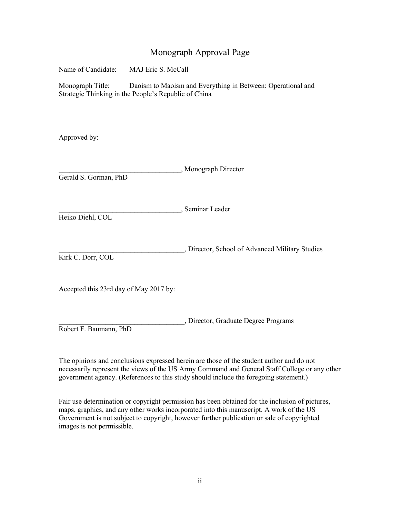## Monograph Approval Page

Name of Candidate: MAJ Eric S. McCall Monograph Title: Daoism to Maoism and Everything in Between: Operational and

Strategic Thinking in the People's Republic of China

Approved by:

| Gerald S. Gorman, PhD                  | "Monograph Director                             |
|----------------------------------------|-------------------------------------------------|
| Heiko Diehl, COL                       | , Seminar Leader                                |
| Kirk C. Dorr, COL                      | , Director, School of Advanced Military Studies |
| Accepted this 23rd day of May 2017 by: |                                                 |

\_\_\_\_\_\_\_\_\_\_\_\_\_\_\_\_\_\_\_\_\_\_\_\_\_\_\_\_\_\_\_\_\_\_\_, Director, Graduate Degree Programs Robert F. Baumann, PhD

 The opinions and conclusions expressed herein are those of the student author and do not necessarily represent the views of the US Army Command and General Staff College or any other government agency. (References to this study should include the foregoing statement.)

 Fair use determination or copyright permission has been obtained for the inclusion of pictures, maps, graphics, and any other works incorporated into this manuscript. A work of the US Government is not subject to copyright, however further publication or sale of copyrighted images is not permissible.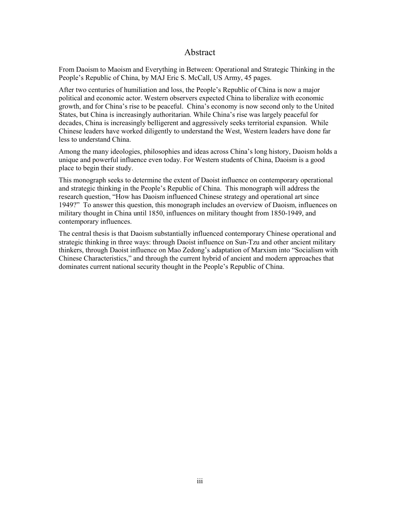### Abstract

 From Daoism to Maoism and Everything in Between: Operational and Strategic Thinking in the People's Republic of China, by MAJ Eric S. McCall, US Army, 45 pages.

 States, but China is increasingly authoritarian. While China's rise was largely peaceful for decades, China is increasingly belligerent and aggressively seeks territorial expansion. While After two centuries of humiliation and loss, the People's Republic of China is now a major political and economic actor. Western observers expected China to liberalize with economic growth, and for China's rise to be peaceful. China's economy is now second only to the United Chinese leaders have worked diligently to understand the West, Western leaders have done far less to understand China.

 Among the many ideologies, philosophies and ideas across China's long history, Daoism holds a unique and powerful influence even today. For Western students of China, Daoism is a good place to begin their study.

 research question, "How has Daoism influenced Chinese strategy and operational art since 1949?" To answer this question, this monograph includes an overview of Daoism, influences on This monograph seeks to determine the extent of Daoist influence on contemporary operational and strategic thinking in the People's Republic of China. This monograph will address the military thought in China until 1850, influences on military thought from 1850-1949, and contemporary influences.

 Chinese Characteristics," and through the current hybrid of ancient and modern approaches that The central thesis is that Daoism substantially influenced contemporary Chinese operational and strategic thinking in three ways: through Daoist influence on Sun-Tzu and other ancient military thinkers, through Daoist influence on Mao Zedong's adaptation of Marxism into "Socialism with dominates current national security thought in the People's Republic of China.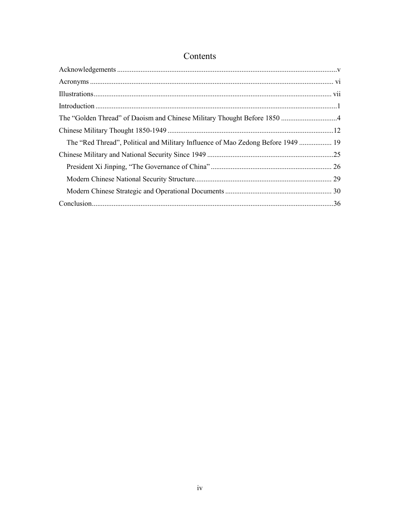# Contents

| The "Red Thread", Political and Military Influence of Mao Zedong Before 1949  19 |  |
|----------------------------------------------------------------------------------|--|
|                                                                                  |  |
|                                                                                  |  |
|                                                                                  |  |
|                                                                                  |  |
|                                                                                  |  |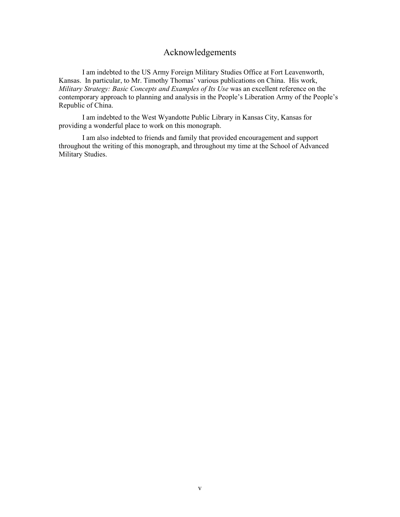# Acknowledgements

<span id="page-5-0"></span>I am indebted to the US Army Foreign Military Studies Office at Fort Leavenworth, Kansas. In particular, to Mr. Timothy Thomas' various publications on China. His work, *Military Strategy: Basic Concepts and Examples of Its Use* was an excellent reference on the contemporary approach to planning and analysis in the People's Liberation Army of the People's Republic of China.

 I am indebted to the West Wyandotte Public Library in Kansas City, Kansas for providing a wonderful place to work on this monograph.

I am also indebted to friends and family that provided encouragement and support throughout the writing of this monograph, and throughout my time at the School of Advanced Military Studies.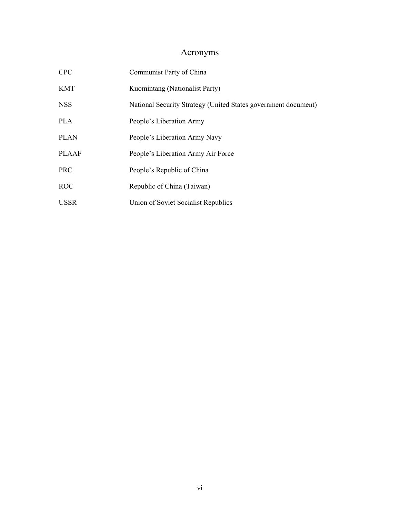# Acronyms

<span id="page-6-0"></span>

| <b>CPC</b>   | Communist Party of China                                       |  |  |
|--------------|----------------------------------------------------------------|--|--|
| <b>KMT</b>   | Kuomintang (Nationalist Party)                                 |  |  |
| <b>NSS</b>   | National Security Strategy (United States government document) |  |  |
| <b>PLA</b>   | People's Liberation Army                                       |  |  |
| <b>PLAN</b>  | People's Liberation Army Navy                                  |  |  |
| <b>PLAAF</b> | People's Liberation Army Air Force                             |  |  |
| <b>PRC</b>   | People's Republic of China                                     |  |  |
| <b>ROC</b>   | Republic of China (Taiwan)                                     |  |  |
| <b>USSR</b>  | Union of Soviet Socialist Republics                            |  |  |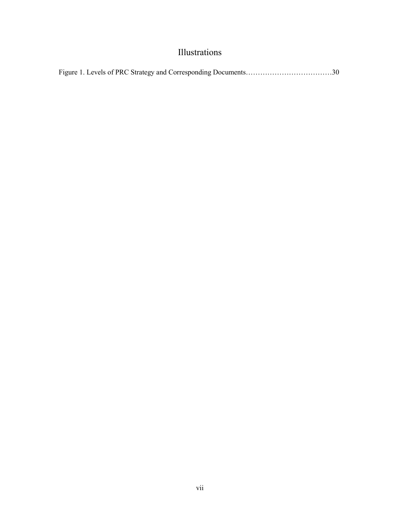# Illustrations

<span id="page-7-0"></span>

|--|--|--|--|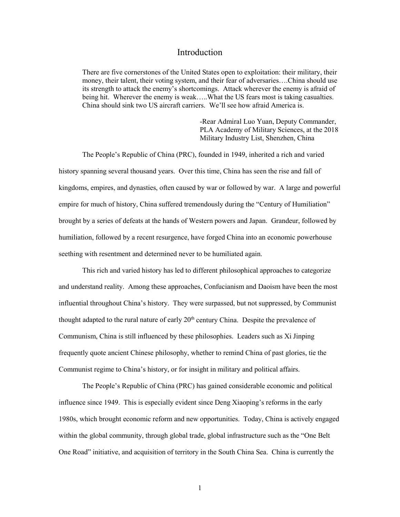### Introduction

<span id="page-8-0"></span> There are five cornerstones of the United States open to exploitation: their military, their being hit. Wherever the enemy is weak…..What the US fears most is taking casualties. China should sink two US aircraft carriers. We'll see how afraid America is. money, their talent, their voting system, and their fear of adversaries….China should use its strength to attack the enemy's shortcomings. Attack wherever the enemy is afraid of

> PLA Academy of Military Sciences, at the 2018 Military Industry List, Shenzhen, China -Rear Admiral Luo Yuan, Deputy Commander,

 humiliation, followed by a recent resurgence, have forged China into an economic powerhouse seething with resentment and determined never to be humiliated again. The People's Republic of China (PRC), founded in 1949, inherited a rich and varied history spanning several thousand years. Over this time, China has seen the rise and fall of kingdoms, empires, and dynasties, often caused by war or followed by war. A large and powerful empire for much of history, China suffered tremendously during the "Century of Humiliation" brought by a series of defeats at the hands of Western powers and Japan. Grandeur, followed by

 and understand reality. Among these approaches, Confucianism and Daoism have been the most influential throughout China's history. They were surpassed, but not suppressed, by Communist thought adapted to the rural nature of early  $20<sup>th</sup>$  century China. Despite the prevalence of Communism, China is still influenced by these philosophies. Leaders such as Xi Jinping frequently quote ancient Chinese philosophy, whether to remind China of past glories, tie the This rich and varied history has led to different philosophical approaches to categorize Communist regime to China's history, or for insight in military and political affairs.

 influence since 1949. This is especially evident since Deng Xiaoping's reforms in the early within the global community, through global trade, global infrastructure such as the "One Belt The People's Republic of China (PRC) has gained considerable economic and political 1980s, which brought economic reform and new opportunities. Today, China is actively engaged One Road" initiative, and acquisition of territory in the South China Sea. China is currently the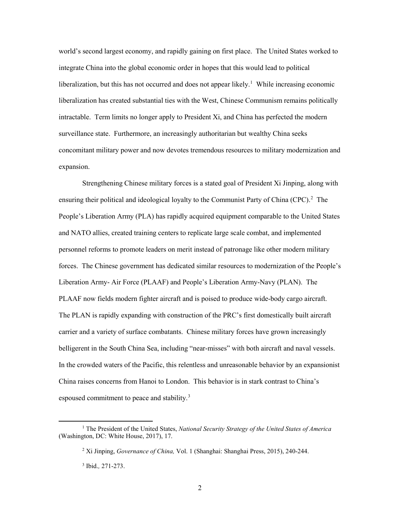world's second largest economy, and rapidly gaining on first place. The United States worked to liberalization, but this has not occurred and does not appear likely.<sup>1</sup> While increasing economic liberalization has created substantial ties with the West, Chinese Communism remains politically intractable. Term limits no longer apply to President Xi, and China has perfected the modern surveillance state. Furthermore, an increasingly authoritarian but wealthy China seeks integrate China into the global economic order in hopes that this would lead to political concomitant military power and now devotes tremendous resources to military modernization and expansion.

 Strengthening Chinese military forces is a stated goal of President Xi Jinping, along with ensuring their political and ideological loyalty to the Communist Party of China (CPC).<sup>[2](#page-9-1)</sup> The Liberation Army- Air Force (PLAAF) and People's Liberation Army-Navy (PLAN). The carrier and a variety of surface combatants. Chinese military forces have grown increasingly belligerent in the South China Sea, including "near-misses" with both aircraft and naval vessels. China raises concerns from Hanoi to London. This behavior is in stark contrast to China's espoused commitment to peace and stability.<sup>[3](#page-9-2)</sup> People's Liberation Army (PLA) has rapidly acquired equipment comparable to the United States and NATO allies, created training centers to replicate large scale combat, and implemented personnel reforms to promote leaders on merit instead of patronage like other modern military forces. The Chinese government has dedicated similar resources to modernization of the People's PLAAF now fields modern fighter aircraft and is poised to produce wide-body cargo aircraft. The PLAN is rapidly expanding with construction of the PRC's first domestically built aircraft In the crowded waters of the Pacific, this relentless and unreasonable behavior by an expansionist

<span id="page-9-2"></span><span id="page-9-1"></span><span id="page-9-0"></span><sup>1</sup> The President of the United States, *National Security Strategy of the United States of America*  (Washington, DC: White House, 2017), 17.

 2 Xi Jinping, *Governance of China,* Vol. 1 (Shanghai: Shanghai Press, 2015), 240-244.

 3 Ibid.*,* 271-273.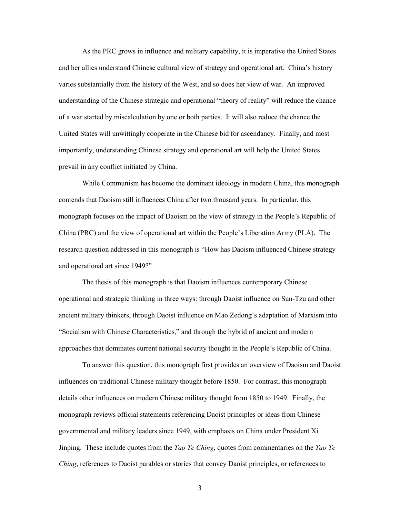prevail in any conflict initiated by China. As the PRC grows in influence and military capability, it is imperative the United States and her allies understand Chinese cultural view of strategy and operational art. China's history varies substantially from the history of the West, and so does her view of war. An improved understanding of the Chinese strategic and operational "theory of reality" will reduce the chance of a war started by miscalculation by one or both parties. It will also reduce the chance the United States will unwittingly cooperate in the Chinese bid for ascendancy. Finally, and most importantly, understanding Chinese strategy and operational art will help the United States

 contends that Daoism still influences China after two thousand years. In particular, this monograph focuses on the impact of Daoism on the view of strategy in the People's Republic of China (PRC) and the view of operational art within the People's Liberation Army (PLA). The and operational art since 1949?" While Communism has become the dominant ideology in modern China, this monograph research question addressed in this monograph is "How has Daoism influenced Chinese strategy

and operational art since 1949?"<br>The thesis of this monograph is that Daoism influences contemporary Chinese approaches that dominates current national security thought in the People's Republic of China. operational and strategic thinking in three ways: through Daoist influence on Sun-Tzu and other ancient military thinkers, through Daoist influence on Mao Zedong's adaptation of Marxism into "Socialism with Chinese Characteristics," and through the hybrid of ancient and modern

 To answer this question, this monograph first provides an overview of Daoism and Daoist details other influences on modern Chinese military thought from 1850 to 1949. Finally, the governmental and military leaders since 1949, with emphasis on China under President Xi Jinping. These include quotes from the *Tao Te Ching*, quotes from commentaries on the *Tao Te Ching*, references to Daoist parables or stories that convey Daoist principles, or references to influences on traditional Chinese military thought before 1850. For contrast, this monograph monograph reviews official statements referencing Daoist principles or ideas from Chinese

3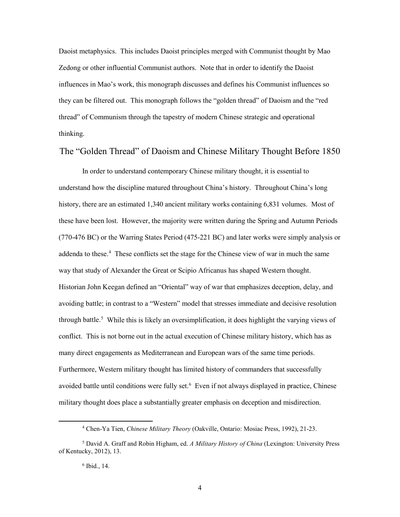Daoist metaphysics. This includes Daoist principles merged with Communist thought by Mao Zedong or other influential Communist authors. Note that in order to identify the Daoist influences in Mao's work, this monograph discusses and defines his Communist influences so they can be filtered out. This monograph follows the "golden thread" of Daoism and the "red thread" of Communism through the tapestry of modern Chinese strategic and operational thinking.

# <span id="page-11-0"></span>The "Golden Thread" of Daoism and Chinese Military Thought Before 1850

 (770-476 BC) or the Warring States Period (475-221 BC) and later works were simply analysis or addenda to these.<sup>[4](#page-11-1)</sup> These conflicts set the stage for the Chinese view of war in much the same way that study of Alexander the Great or Scipio Africanus has shaped Western thought. way that study of Alexander the Great or Scipio Africanus has shaped Western thought.<br>Historian John Keegan defined an "Oriental" way of war that emphasizes deception, delay, and avoiding battle; in contrast to a "Western" model that stresses immediate and decisive resolution through battle.<sup>[5](#page-11-2)</sup> While this is likely an oversimplification, it does highlight the varying views of conflict. This is not borne out in the actual execution of Chinese military history, which has as many direct engagements as Mediterranean and European wars of the same time periods. avoided battle until conditions were fully set.<sup>6</sup> Even if not always displayed in practice, Chinese In order to understand contemporary Chinese military thought, it is essential to understand how the discipline matured throughout China's history. Throughout China's long history, there are an estimated 1,340 ancient military works containing 6,831 volumes. Most of these have been lost. However, the majority were written during the Spring and Autumn Periods Furthermore, Western military thought has limited history of commanders that successfully military thought does place a substantially greater emphasis on deception and misdirection.

<sup>4</sup> Chen-Ya Tien, *Chinese Military Theory* (Oakville, Ontario: Mosiac Press, 1992), 21-23.

<span id="page-11-3"></span><span id="page-11-2"></span><span id="page-11-1"></span> 5 David A. Graff and Robin Higham, ed. *A Military History of China* (Lexington: University Press of Kentucky, 2012), 13.

 6 Ibid., 14.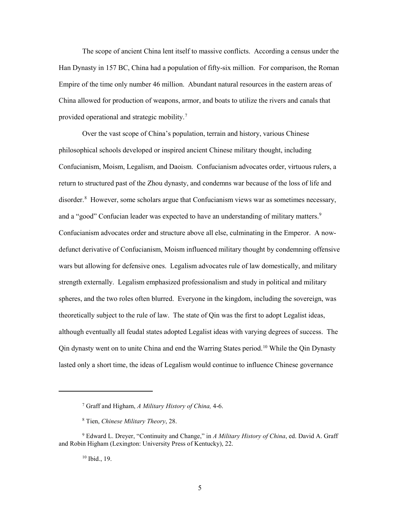The scope of ancient China lent itself to massive conflicts. According a census under the Han Dynasty in 157 BC, China had a population of fifty-six million. For comparison, the Roman Empire of the time only number 46 million. Abundant natural resources in the eastern areas of China allowed for production of weapons, armor, and boats to utilize the rivers and canals that provided operational and strategic mobility.<sup>7</sup>

 philosophical schools developed or inspired ancient Chinese military thought, including return to structured past of the Zhou dynasty, and condemns war because of the loss of life and disorder.<sup>8</sup> However, some scholars argue that Confucianism views war as sometimes necessary, and a "good" Confucian leader was expected to have an understanding of military matters.<sup>[9](#page-12-2)</sup> Confucianism advocates order and structure above all else, culminating in the Emperor. A now- spheres, and the two roles often blurred. Everyone in the kingdom, including the sovereign, was theoretically subject to the rule of law. The state of Qin was the first to adopt Legalist ideas, although eventually all feudal states adopted Legalist ideas with varying degrees of success. The Qin dynasty went on to unite China and end the Warring States period. [10](#page-12-3) While the Qin Dynasty lasted only a short time, the ideas of Legalism would continue to influence Chinese governance Over the vast scope of China's population, terrain and history, various Chinese Confucianism, Moism, Legalism, and Daoism. Confucianism advocates order, virtuous rulers, a defunct derivative of Confucianism, Moism influenced military thought by condemning offensive wars but allowing for defensive ones. Legalism advocates rule of law domestically, and military strength externally. Legalism emphasized professionalism and study in political and military

10 Ibid., 19.

 7 Graff and Higham, *A Military History of China,* 4-6.

<sup>8</sup> Tien, *Chinese Military Theory*, 28.

<span id="page-12-3"></span><span id="page-12-2"></span><span id="page-12-1"></span><span id="page-12-0"></span><sup>9</sup> Edward L. Dreyer, "Continuity and Change," in *A Military History of China*, ed. David A. Graff and Robin Higham (Lexington: University Press of Kentucky), 22.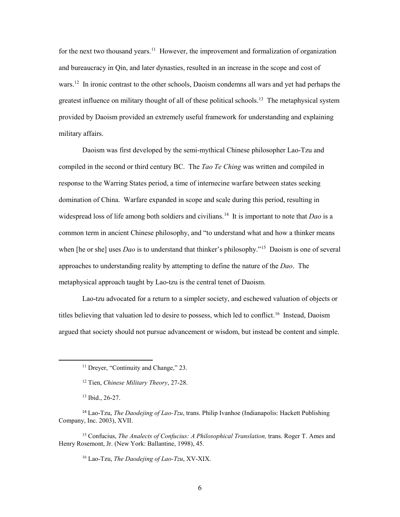for the next two thousand years.<sup>11</sup> However, the improvement and formalization of organization and bureaucracy in Qin, and later dynasties, resulted in an increase in the scope and cost of wars.<sup>12</sup> In ironic contrast to the other schools, Daoism condemns all wars and yet had perhaps the greatest influence on military thought of all of these political schools.<sup>[13](#page-13-2)</sup> The metaphysical system provided by Daoism provided an extremely useful framework for understanding and explaining military affairs.

 domination of China. Warfare expanded in scope and scale during this period, resulting in widespread loss of life among both soldiers and civilians.[14](#page-13-3) It is important to note that *Dao* is a when [he or she] uses *Dao* is to understand that thinker's philosophy."[15](#page-13-4) Daoism is one of several approaches to understanding reality by attempting to define the nature of the *Dao*. The Daoism was first developed by the semi-mythical Chinese philosopher Lao-Tzu and compiled in the second or third century BC. The *Tao Te Ching* was written and compiled in response to the Warring States period, a time of internecine warfare between states seeking common term in ancient Chinese philosophy, and "to understand what and how a thinker means metaphysical approach taught by Lao-tzu is the central tenet of Daoism.

titles believing that valuation led to desire to possess, which led to conflict.<sup>[16](#page-13-5)</sup> Instead, Daoism Lao-tzu advocated for a return to a simpler society, and eschewed valuation of objects or argued that society should not pursue advancement or wisdom, but instead be content and simple.

<span id="page-13-1"></span><span id="page-13-0"></span> $\overline{a}$ 

16 Lao-Tzu, *The Daodejing of Lao-Tzu*, XV-XIX.

<sup>&</sup>lt;sup>11</sup> Dreyer, "Continuity and Change," 23.

<sup>12</sup> Tien, *Chinese Military Theory*, 27-28.

 13 Ibid., 26-27.

<span id="page-13-3"></span><span id="page-13-2"></span>Company, Inc. 2003), XVII. <sup>14</sup>Lao-Tzu, *The Daodejing of Lao-Tzu*, trans. Philip Ivanhoe (Indianapolis: Hackett Publishing

<span id="page-13-5"></span><span id="page-13-4"></span><sup>&</sup>lt;sup>15</sup> Confucius, *The Analects of Confucius: A Philosophical Translation*, trans. Roger T. Ames and Henry Rosemont, Jr. (New York: Ballantine, 1998), 45.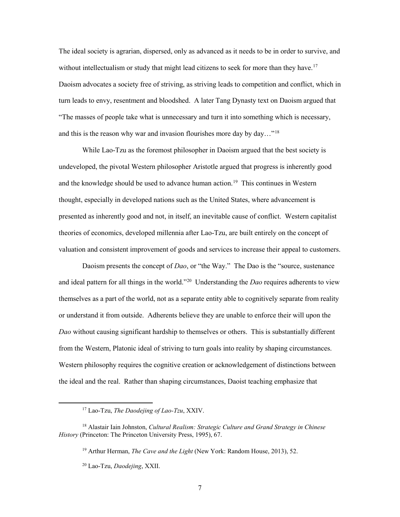The ideal society is agrarian, dispersed, only as advanced as it needs to be in order to survive, and without intellectualism or study that might lead citizens to seek for more than they have.<sup>[17](#page-14-0)</sup> and this is the reason why war and invasion flourishes more day by day..."<sup>18</sup> Daoism advocates a society free of striving, as striving leads to competition and conflict, which in turn leads to envy, resentment and bloodshed. A later Tang Dynasty text on Daoism argued that "The masses of people take what is unnecessary and turn it into something which is necessary,

 While Lao-Tzu as the foremost philosopher in Daoism argued that the best society is and the knowledge should be used to advance human action.<sup>19</sup> This continues in Western presented as inherently good and not, in itself, an inevitable cause of conflict. Western capitalist theories of economics, developed millennia after Lao-Tzu, are built entirely on the concept of valuation and consistent improvement of goods and services to increase their appeal to customers. undeveloped, the pivotal Western philosopher Aristotle argued that progress is inherently good thought, especially in developed nations such as the United States, where advancement is

 valuation and consistent improvement of goods and services to increase their appeal to customers. Daoism presents the concept of *Dao*, or "the Way." The Dao is the "source, sustenance and ideal pattern for all things in the world."[20](#page-14-3) Understanding the *Dao* requires adherents to view or understand it from outside. Adherents believe they are unable to enforce their will upon the *Dao* without causing significant hardship to themselves or others. This is substantially different themselves as a part of the world, not as a separate entity able to cognitively separate from reality from the Western, Platonic ideal of striving to turn goals into reality by shaping circumstances. Western philosophy requires the cognitive creation or acknowledgement of distinctions between the ideal and the real. Rather than shaping circumstances, Daoist teaching emphasize that

<sup>17</sup> Lao-Tzu, *The Daodejing of Lao-Tzu*, XXIV.

<span id="page-14-3"></span><span id="page-14-2"></span><span id="page-14-1"></span><span id="page-14-0"></span><sup>18</sup> Alastair Iain Johnston, *Cultural Realism: Strategic Culture and Grand Strategy in Chinese History* (Princeton: The Princeton University Press, 1995), 67.

<sup>19</sup> Arthur Herman, *The Cave and the Light* (New York: Random House, 2013), 52.

<sup>20</sup> Lao-Tzu, *Daodejing*, XXII.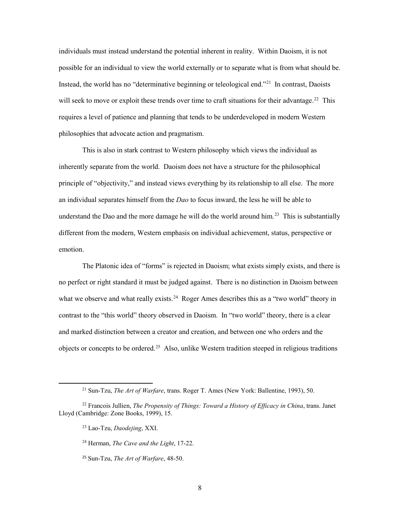possible for an individual to view the world externally or to separate what is from what should be. possible for an individual to view the world externally or to separate what is from what should be.<br>Instead, the world has no "determinative beginning or teleological end."<sup>21</sup> In contrast, Daoists will seek to move or exploit these trends over time to craft situations for their advantage.<sup>22</sup> This individuals must instead understand the potential inherent in reality. Within Daoism, it is not requires a level of patience and planning that tends to be underdeveloped in modern Western philosophies that advocate action and pragmatism.

 This is also in stark contrast to Western philosophy which views the individual as principle of "objectivity," and instead views everything by its relationship to all else. The more an individual separates himself from the *Dao* to focus inward, the less he will be able to understand the Dao and the more damage he will do the world around him.<sup>[23](#page-15-2)</sup> This is substantially different from the modern, Western emphasis on individual achievement, status, perspective or inherently separate from the world. Daoism does not have a structure for the philosophical emotion.

 no perfect or right standard it must be judged against. There is no distinction in Daoism between what we observe and what really exists.<sup>24</sup> Roger Ames describes this as a "two world" theory in contrast to the "this world" theory observed in Daoism. In "two world" theory, there is a clear objects or concepts to be ordered.<sup>[25](#page-15-4)</sup> Also, unlike Western tradition steeped in religious traditions The Platonic idea of "forms" is rejected in Daoism; what exists simply exists, and there is and marked distinction between a creator and creation, and between one who orders and the

<sup>21</sup> Sun-Tzu, *The Art of Warfare*, trans. Roger T. Ames (New York: Ballentine, 1993), 50.

<span id="page-15-4"></span><span id="page-15-3"></span><span id="page-15-2"></span><span id="page-15-1"></span><span id="page-15-0"></span><sup>22</sup> Francois Jullien, *The Propensity of Things: Toward a History of Efficacy in China*, trans. Janet Lloyd (Cambridge: Zone Books, 1999), 15.

<sup>23</sup> Lao-Tzu, *Daodejing*, XXI.

<sup>24</sup> Herman, *The Cave and the Light*, 17-22.

<sup>25</sup>Sun-Tzu, *The Art of Warfare*, 48-50.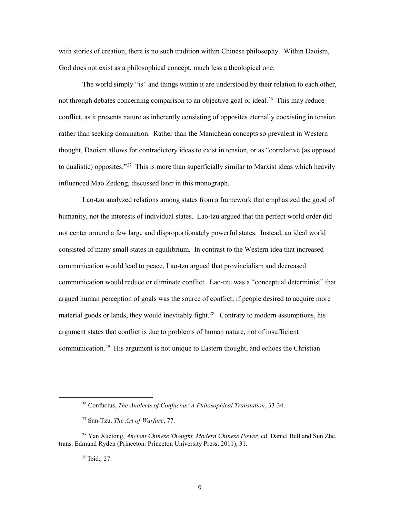with stories of creation, there is no such tradition within Chinese philosophy. Within Daoism, God does not exist as a philosophical concept, much less a theological one.

not through debates concerning comparison to an objective goal or ideal.<sup>26</sup> This may reduce conflict, as it presents nature as inherently consisting of opposites eternally coexisting in tension rather than seeking domination. Rather than the Manichean concepts so prevalent in Western to dualistic) opposites."<sup>27</sup> This is more than superficially similar to Marxist ideas which heavily The world simply "is" and things within it are understood by their relation to each other, thought, Daoism allows for contradictory ideas to exist in tension, or as "correlative (as opposed influenced Mao Zedong, discussed later in this monograph.

 not center around a few large and disproportionately powerful states. Instead, an ideal world consisted of many small states in equilibrium. In contrast to the Western idea that increased communication would reduce or eliminate conflict. Lao-tzu was a "conceptual determinist" that argued human perception of goals was the source of conflict; if people desired to acquire more material goods or lands, they would inevitably fight.<sup>[28](#page-16-2)</sup> Contrary to modern assumptions, his argument states that conflict is due to problems of human nature, not of insufficient communication.<sup>29</sup> His argument is not unique to Eastern thought, and echoes the Christian Lao-tzu analyzed relations among states from a framework that emphasized the good of humanity, not the interests of individual states. Lao-tzu argued that the perfect world order did communication would lead to peace, Lao-tzu argued that provincialism and decreased

29 Ibid.*,* 27.

<sup>26</sup> Confucius, *The Analects of Confucius: A Philosophical Translation*, 33-34.

<sup>27</sup>Sun-Tzu, *The Art of Warfare*, 77.

<span id="page-16-3"></span><span id="page-16-2"></span><span id="page-16-1"></span><span id="page-16-0"></span> 28 Yan Xuetong, *Ancient Chinese Thought, Modern Chinese Power,* ed. Daniel Bell and Sun Zhe. trans. Edmund Ryden (Princeton: Princeton University Press, 2011), 31.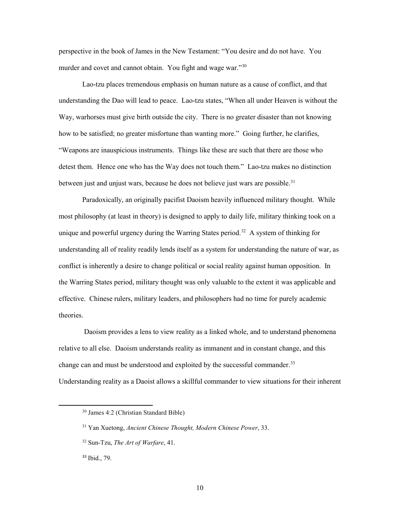perspective in the book of James in the New Testament: "You desire and do not have. You murder and covet and cannot obtain. You fight and wage war."<sup>30</sup>

 understanding the Dao will lead to peace. Lao-tzu states, "When all under Heaven is without the Way, warhorses must give birth outside the city. There is no greater disaster than not knowing "Weapons are inauspicious instruments. Things like these are such that there are those who detest them. Hence one who has the Way does not touch them." Lao-tzu makes no distinction between just and unjust wars, because he does not believe just wars are possible.<sup>[31](#page-17-1)</sup> Lao-tzu places tremendous emphasis on human nature as a cause of conflict, and that how to be satisfied; no greater misfortune than wanting more." Going further, he clarifies,

 most philosophy (at least in theory) is designed to apply to daily life, military thinking took on a unique and powerful urgency during the Warring States period.<sup>32</sup> A system of thinking for conflict is inherently a desire to change political or social reality against human opposition. In the Warring States period, military thought was only valuable to the extent it was applicable and effective. Chinese rulers, military leaders, and philosophers had no time for purely academic Paradoxically, an originally pacifist Daoism heavily influenced military thought. While understanding all of reality readily lends itself as a system for understanding the nature of war, as theories.

 Daoism provides a lens to view reality as a linked whole, and to understand phenomena relative to all else. Daoism understands reality as immanent and in constant change, and this change can and must be understood and exploited by the successful commander.<sup>33</sup> Understanding reality as a Daoist allows a skillful commander to view situations for their inherent

<span id="page-17-0"></span><sup>30</sup> James 4:2 (Christian Standard Bible)

<span id="page-17-1"></span><sup>31</sup> Yan Xuetong, *Ancient Chinese Thought, Modern Chinese Power*, 33.

<span id="page-17-2"></span><sup>32</sup> Sun-Tzu, *The Art of Warfare*, 41.

<span id="page-17-3"></span><sup>&</sup>lt;sup>33</sup> Ibid., 79.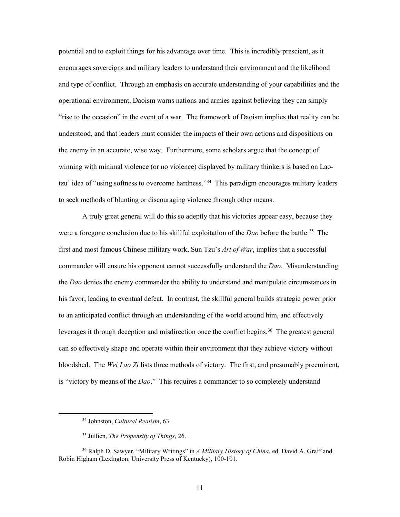potential and to exploit things for his advantage over time. This is incredibly prescient, as it and type of conflict. Through an emphasis on accurate understanding of your capabilities and the "rise to the occasion" in the event of a war. The framework of Daoism implies that reality can be the enemy in an accurate, wise way. Furthermore, some scholars argue that the concept of tzu' idea of "using softness to overcome hardness."<sup>34</sup> This paradigm encourages military leaders encourages sovereigns and military leaders to understand their environment and the likelihood operational environment, Daoism warns nations and armies against believing they can simply understood, and that leaders must consider the impacts of their own actions and dispositions on winning with minimal violence (or no violence) displayed by military thinkers is based on Laoto seek methods of blunting or discouraging violence through other means.

 A truly great general will do this so adeptly that his victories appear easy, because they were a foregone conclusion due to his skillful exploitation of the *Dao* before the battle. [35](#page-18-1) The the *Dao* denies the enemy commander the ability to understand and manipulate circumstances in his favor, leading to eventual defeat. In contrast, the skillful general builds strategic power prior leverages it through deception and misdirection once the conflict begins.<sup>[36](#page-18-2)</sup> The greatest general can so effectively shape and operate within their environment that they achieve victory without first and most famous Chinese military work, Sun Tzu's *Art of War*, implies that a successful commander will ensure his opponent cannot successfully understand the *Dao*. Misunderstanding to an anticipated conflict through an understanding of the world around him, and effectively bloodshed. The *Wei Lao Zi* lists three methods of victory. The first, and presumably preeminent, is "victory by means of the *Dao*." This requires a commander to so completely understand

<sup>34</sup> Johnston, *Cultural Realism*, 63.

<sup>35</sup> Jullien, *The Propensity of Things*, 26.

<span id="page-18-2"></span><span id="page-18-1"></span><span id="page-18-0"></span><sup>36</sup> Ralph D. Sawyer, "Military Writings" in *A Military History of China*, ed. David A. Graff and Robin Higham (Lexington: University Press of Kentucky), 100-101.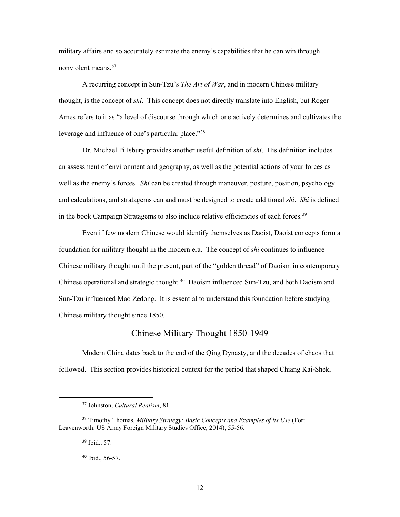nonviolent means.<sup>[37](#page-19-1)</sup> military affairs and so accurately estimate the enemy's capabilities that he can win through

 thought, is the concept of *shi*. This concept does not directly translate into English, but Roger leverage and influence of one's particular place."<sup>[38](#page-19-2)</sup> A recurring concept in Sun-Tzu's *The Art of War*, and in modern Chinese military Ames refers to it as "a level of discourse through which one actively determines and cultivates the

 Dr. Michael Pillsbury provides another useful definition of *shi*. His definition includes well as the enemy's forces. *Shi* can be created through maneuver, posture, position, psychology and calculations, and stratagems can and must be designed to create additional *shi*. *Shi* is defined in the book Campaign Stratagems to also include relative efficiencies of each forces.<sup>39</sup> an assessment of environment and geography, as well as the potential actions of your forces as

 foundation for military thought in the modern era. The concept of *shi* continues to influence Chinese operational and strategic thought. [40](#page-19-4) Daoism influenced Sun-Tzu, and both Daoism and Even if few modern Chinese would identify themselves as Daoist, Daoist concepts form a Chinese military thought until the present, part of the "golden thread" of Daoism in contemporary Sun-Tzu influenced Mao Zedong. It is essential to understand this foundation before studying Chinese military thought since 1850.

## Chinese Military Thought 1850-1949

<span id="page-19-0"></span> Modern China dates back to the end of the Qing Dynasty, and the decades of chaos that followed. This section provides historical context for the period that shaped Chiang Kai-Shek,

39 Ibid., 57.

<span id="page-19-1"></span> $\overline{a}$ 

40 Ibid., 56-57.

<sup>37</sup> Johnston, *Cultural Realism*, 81.

<span id="page-19-4"></span><span id="page-19-3"></span><span id="page-19-2"></span> Leavenworth: US Army Foreign Military Studies Office, 2014), 55-56. 38 Timothy Thomas, *Military Strategy: Basic Concepts and Examples of its Use* (Fort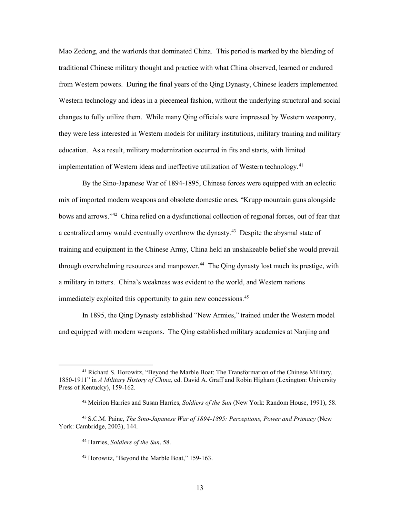from Western powers. During the final years of the Qing Dynasty, Chinese leaders implemented Western technology and ideas in a piecemeal fashion, without the underlying structural and social education. As a result, military modernization occurred in fits and starts, with limited implementation of Western ideas and ineffective utilization of Western technology.<sup>41</sup> Mao Zedong, and the warlords that dominated China. This period is marked by the blending of traditional Chinese military thought and practice with what China observed, learned or endured changes to fully utilize them. While many Qing officials were impressed by Western weaponry, they were less interested in Western models for military institutions, military training and military

bows and arrows."<sup>42</sup> China relied on a dysfunctional collection of regional forces, out of fear that a centralized army would eventually overthrow the dynasty.<sup>43</sup> Despite the abysmal state of through overwhelming resources and manpower.<sup>44</sup> The Qing dynasty lost much its prestige, with immediately exploited this opportunity to gain new concessions.<sup>[45](#page-20-4)</sup> By the Sino-Japanese War of 1894-1895, Chinese forces were equipped with an eclectic mix of imported modern weapons and obsolete domestic ones, "Krupp mountain guns alongside training and equipment in the Chinese Army, China held an unshakeable belief she would prevail a military in tatters. China's weakness was evident to the world, and Western nations

In 1895, the Qing Dynasty established "New Armies," trained under the Western model and equipped with modern weapons. The Qing established military academies at Nanjing and

<span id="page-20-0"></span> 1850-1911" in *A Military History of China*, ed. David A. Graff and Robin Higham (Lexington: University 41 Richard S. Horowitz, "Beyond the Marble Boat: The Transformation of the Chinese Military, Press of Kentucky), 159-162.

 <sup>42</sup>Meirion Harries and Susan Harries, *Soldiers of the Sun* (New York: Random House, 1991), 58.

<span id="page-20-4"></span><span id="page-20-3"></span><span id="page-20-2"></span><span id="page-20-1"></span><sup>43</sup>S.C.M. Paine, *The Sino-Japanese War of 1894-1895: Perceptions, Power and Primacy* (New York: Cambridge, 2003), 144.

<sup>44</sup>Harries, *Soldiers of the Sun*, 58.

<sup>&</sup>lt;sup>45</sup> Horowitz, "Beyond the Marble Boat," 159-163.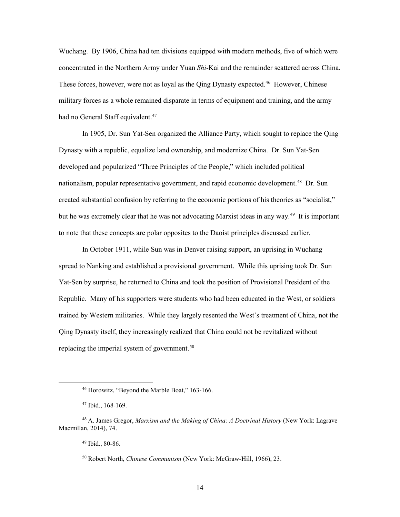concentrated in the Northern Army under Yuan Shi-Kai and the remainder scattered across China. concentrated in the Northern Army under Yuan *Shi*-Kai and the remainder scattered across China.<br>These forces, however, were not as loyal as the Qing Dynasty expected.<sup>46</sup> However, Chinese Wuchang. By 1906, China had ten divisions equipped with modern methods, five of which were military forces as a whole remained disparate in terms of equipment and training, and the army had no General Staff equivalent.<sup>[47](#page-21-1)</sup>

 In 1905, Dr. Sun Yat-Sen organized the Alliance Party, which sought to replace the Qing nationalism, popular representative government, and rapid economic development.<sup>[48](#page-21-2)</sup> Dr. Sun created substantial confusion by referring to the economic portions of his theories as "socialist," but he was extremely clear that he was not advocating Marxist ideas in any way. [49](#page-21-3) It is important to note that these concepts are polar opposites to the Daoist principles discussed earlier. Dynasty with a republic, equalize land ownership, and modernize China. Dr. Sun Yat-Sen developed and popularized "Three Principles of the People," which included political

 In October 1911, while Sun was in Denver raising support, an uprising in Wuchang spread to Nanking and established a provisional government. While this uprising took Dr. Sun Qing Dynasty itself, they increasingly realized that China could not be revitalized without replacing the imperial system of government.<sup>[50](#page-21-4)</sup> Yat-Sen by surprise, he returned to China and took the position of Provisional President of the Republic. Many of his supporters were students who had been educated in the West, or soldiers trained by Western militaries. While they largely resented the West's treatment of China, not the

<sup>46</sup> Horowitz, "Beyond the Marble Boat," 163-166.

 47 Ibid., 168-169.

<span id="page-21-4"></span><span id="page-21-3"></span><span id="page-21-2"></span><span id="page-21-1"></span><span id="page-21-0"></span> <sup>48</sup>A. James Gregor, *Marxism and the Making of China: A Doctrinal History* (New York: Lagrave Macmillan, 2014), 74.<br><sup>49</sup> Ibid., 80-86.

<sup>&</sup>lt;sup>49</sup> Ibid., 80-86.

<sup>50</sup> Robert North, *Chinese Communism* (New York: McGraw-Hill, 1966), 23.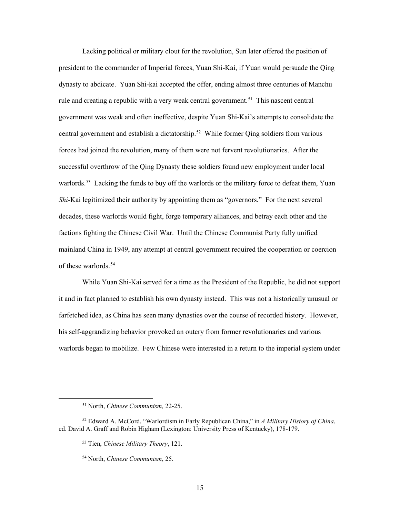Lacking political or military clout for the revolution, Sun later offered the position of president to the commander of Imperial forces, Yuan Shi-Kai, if Yuan would persuade the Qing dynasty to abdicate. Yuan Shi-kai accepted the offer, ending almost three centuries of Manchu rule and creating a republic with a very weak central government.<sup>51</sup> This nascent central central government and establish a dictatorship. [52](#page-22-1) While former Qing soldiers from various successful overthrow of the Qing Dynasty these soldiers found new employment under local warlords.<sup>53</sup> Lacking the funds to buy off the warlords or the military force to defeat them, Yuan *Shi*-Kai legitimized their authority by appointing them as "governors." For the next several factions fighting the Chinese Civil War. Until the Chinese Communist Party fully unified mainland China in 1949, any attempt at central government required the cooperation or coercion of these warlords.<sup>[54](#page-22-3)</sup> government was weak and often ineffective, despite Yuan Shi-Kai's attempts to consolidate the forces had joined the revolution, many of them were not fervent revolutionaries. After the decades, these warlords would fight, forge temporary alliances, and betray each other and the

 While Yuan Shi-Kai served for a time as the President of the Republic, he did not support it and in fact planned to establish his own dynasty instead. This was not a historically unusual or warlords began to mobilize. Few Chinese were interested in a return to the imperial system under farfetched idea, as China has seen many dynasties over the course of recorded history. However, his self-aggrandizing behavior provoked an outcry from former revolutionaries and various

 51 North, *Chinese Communism,* 22-25.

<span id="page-22-3"></span><span id="page-22-2"></span><span id="page-22-1"></span><span id="page-22-0"></span><sup>52</sup> Edward A. McCord, "Warlordism in Early Republican China," in *A Military History of China*, ed. David A. Graff and Robin Higham (Lexington: University Press of Kentucky), 178-179.

<sup>53</sup> Tien, *Chinese Military Theory*, 121.

<sup>54</sup> North, *Chinese Communism*, 25.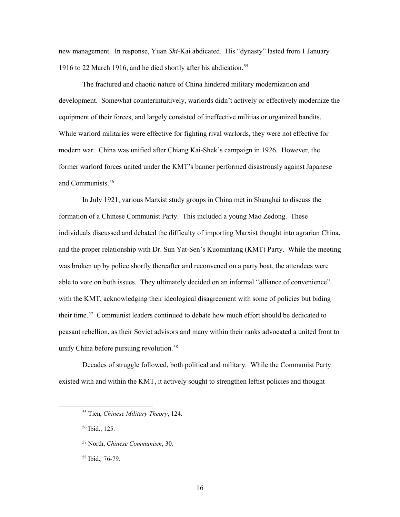1916 to 22 March 1916, and he died shortly after his abdication.<sup>[55](#page-23-0)</sup> new management. In response, Yuan *Shi*-Kai abdicated. His "dynasty" lasted from 1 January

The fractured and chaotic nature of China hindered military modernization and development. Somewhat counterintuitively, warlords didn't actively or effectively modernize the equipment of their forces, and largely consisted of ineffective militias or organized bandits. While warlord militaries were effective for fighting rival warlords, they were not effective for modern war. China was unified after Chiang Kai-Shek's campaign in 1926. However, the former warlord forces united under the KMT's banner performed disastrously against Japanese and Communists.[56](#page-23-1)

 able to vote on both issues. They ultimately decided on an informal "alliance of convenience" their time.<sup>57</sup> Communist leaders continued to debate how much effort should be dedicated to peasant rebellion, as their Soviet advisors and many within their ranks advocated a united front to In July 1921, various Marxist study groups in China met in Shanghai to discuss the formation of a Chinese Communist Party. This included a young Mao Zedong. These individuals discussed and debated the difficulty of importing Marxist thought into agrarian China, and the proper relationship with Dr. Sun Yat-Sen's Kuomintang (KMT) Party. While the meeting was broken up by police shortly thereafter and reconvened on a party boat, the attendees were with the KMT, acknowledging their ideological disagreement with some of policies but biding unify China before pursuing revolution.<sup>58</sup>

<span id="page-23-0"></span> Decades of struggle followed, both political and military. While the Communist Party existed with and within the KMT, it actively sought to strengthen leftist policies and thought

56 Ibid., 125.

<sup>55</sup> Tien, *Chinese Military Theory*, 124.

<span id="page-23-3"></span><span id="page-23-2"></span><span id="page-23-1"></span><sup>57</sup> North, *Chinese Communism*, 30.

 58 Ibid.*,* 76-79.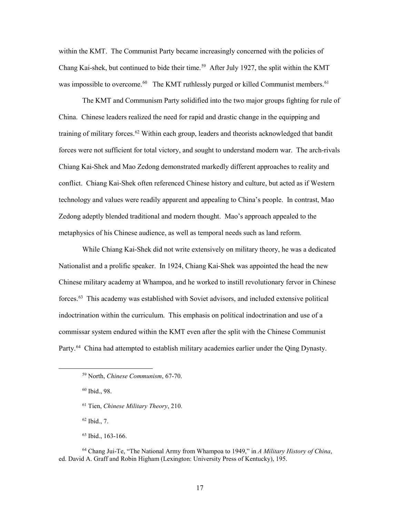within the KMT. The Communist Party became increasingly concerned with the policies of Chang Kai-shek, but continued to bide their time.<sup>[59](#page-24-0)</sup> After July 1927, the split within the KMT was impossible to overcome.<sup>[60](#page-24-1)</sup> The KMT ruthlessly purged or killed Communist members.<sup>61</sup>

 The KMT and Communism Party solidified into the two major groups fighting for rule of China. Chinese leaders realized the need for rapid and drastic change in the equipping and forces were not sufficient for total victory, and sought to understand modern war. The arch-rivals metaphysics of his Chinese audience, as well as temporal needs such as land reform. training of military forces.<sup>62</sup> Within each group, leaders and theorists acknowledged that bandit Chiang Kai-Shek and Mao Zedong demonstrated markedly different approaches to reality and conflict. Chiang Kai-Shek often referenced Chinese history and culture, but acted as if Western technology and values were readily apparent and appealing to China's people. In contrast, Mao Zedong adeptly blended traditional and modern thought. Mao's approach appealed to the

 Nationalist and a prolific speaker. In 1924, Chiang Kai-Shek was appointed the head the new forces.[63](#page-24-4) This academy was established with Soviet advisors, and included extensive political indoctrination within the curriculum. This emphasis on political indoctrination and use of a commissar system endured within the KMT even after the split with the Chinese Communist Party.<sup>[64](#page-24-5)</sup> China had attempted to establish military academies earlier under the Qing Dynasty. While Chiang Kai-Shek did not write extensively on military theory, he was a dedicated Chinese military academy at Whampoa, and he worked to instill revolutionary fervor in Chinese

<span id="page-24-2"></span><span id="page-24-1"></span><span id="page-24-0"></span> $\overline{a}$ 

62 Ibid., 7.

<sup>59</sup> North, *Chinese Communism*, 67-70.

 60 Ibid., 98.

<sup>61</sup> Tien, *Chinese Military Theory*, 210.

<sup>63</sup> Ibid., 163-166.

<span id="page-24-5"></span><span id="page-24-4"></span><span id="page-24-3"></span> 64 Chang Jui-Te, "The National Army from Whampoa to 1949," in *A Military History of China*, ed. David A. Graff and Robin Higham (Lexington: University Press of Kentucky), 195.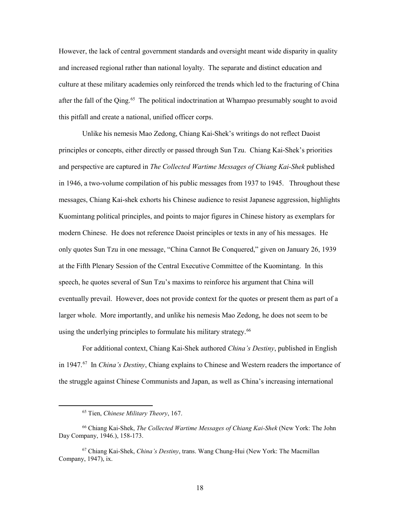and increased regional rather than national loyalty. The separate and distinct education and after the fall of the Qing.<sup>65</sup> The political indoctrination at Whampao presumably sought to avoid this pitfall and create a national, unified officer corps. However, the lack of central government standards and oversight meant wide disparity in quality culture at these military academies only reinforced the trends which led to the fracturing of China

 in 1946, a two-volume compilation of his public messages from 1937 to 1945. Throughout these messages, Chiang Kai-shek exhorts his Chinese audience to resist Japanese aggression, highlights modern Chinese. He does not reference Daoist principles or texts in any of his messages. He at the Fifth Plenary Session of the Central Executive Committee of the Kuomintang. In this speech, he quotes several of Sun Tzu's maxims to reinforce his argument that China will eventually prevail. However, does not provide context for the quotes or present them as part of a using the underlying principles to formulate his military strategy.<sup>[66](#page-25-1)</sup> Unlike his nemesis Mao Zedong, Chiang Kai-Shek's writings do not reflect Daoist principles or concepts, either directly or passed through Sun Tzu. Chiang Kai-Shek's priorities and perspective are captured in *The Collected Wartime Messages of Chiang Kai-Shek* published Kuomintang political principles, and points to major figures in Chinese history as exemplars for only quotes Sun Tzu in one message, "China Cannot Be Conquered," given on January 26, 1939 larger whole. More importantly, and unlike his nemesis Mao Zedong, he does not seem to be

 in 1947.[67](#page-25-2) In *China's Destiny*, Chiang explains to Chinese and Western readers the importance of For additional context, Chiang Kai-Shek authored *China's Destiny*, published in English the struggle against Chinese Communists and Japan, as well as China's increasing international

<sup>65</sup> Tien, *Chinese Military Theory*, 167.

<span id="page-25-1"></span><span id="page-25-0"></span><sup>66</sup> Chiang Kai-Shek, *The Collected Wartime Messages of Chiang Kai-Shek* (New York: The John Day Company, 1946.), 158-173.

<span id="page-25-2"></span><sup>67</sup> Chiang Kai-Shek, *China's Destiny*, trans. Wang Chung-Hui (New York: The Macmillan Company, 1947), ix.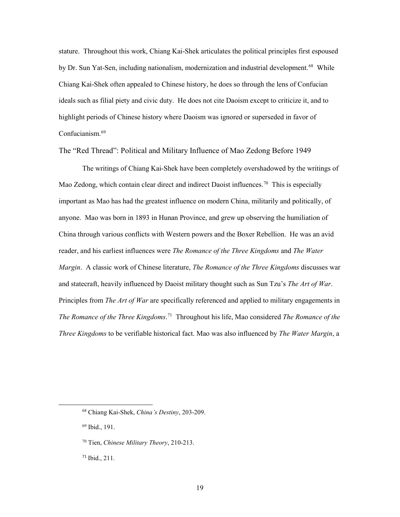by Dr. Sun Yat-Sen, including nationalism, modernization and industrial development.<sup>68</sup> While highlight periods of Chinese history where Daoism was ignored or superseded in favor of Confucianism.<sup>69</sup> stature. Throughout this work, Chiang Kai-Shek articulates the political principles first espoused Chiang Kai-Shek often appealed to Chinese history, he does so through the lens of Confucian ideals such as filial piety and civic duty. He does not cite Daoism except to criticize it, and to

<span id="page-26-0"></span>The "Red Thread": Political and Military Influence of Mao Zedong Before 1949

 The writings of Chiang Kai-Shek have been completely overshadowed by the writings of Mao Zedong, which contain clear direct and indirect Daoist influences.<sup>70</sup> This is especially important as Mao has had the greatest influence on modern China, militarily and politically, of  *The Romance of the Three Kingdoms*. [71](#page-26-4) Throughout his life, Mao considered *The Romance of the*  anyone. Mao was born in 1893 in Hunan Province, and grew up observing the humiliation of China through various conflicts with Western powers and the Boxer Rebellion. He was an avid reader, and his earliest influences were *The Romance of the Three Kingdoms* and *The Water Margin*. A classic work of Chinese literature, *The Romance of the Three Kingdoms* discusses war and statecraft, heavily influenced by Daoist military thought such as Sun Tzu's *The Art of War*. Principles from *The Art of War* are specifically referenced and applied to military engagements in *Three Kingdoms* to be verifiable historical fact. Mao was also influenced by *The Water Margin*, a

<span id="page-26-2"></span>69 Ibid., 191.

<span id="page-26-1"></span><sup>68</sup> Chiang Kai-Shek, *China's Destiny*, 203-209.

<span id="page-26-3"></span><sup>70</sup> Tien, *Chinese Military Theory*, 210-213.

<span id="page-26-4"></span><sup>71</sup> Ibid., 211.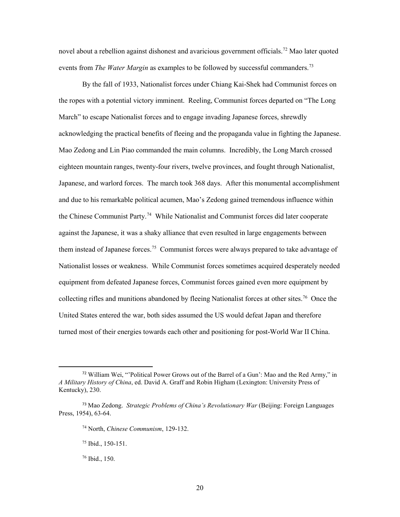novel about a rebellion against dishonest and avaricious government officials.<sup>[72](#page-27-0)</sup> Mao later quoted events from *The Water Margin* as examples to be followed by successful commanders. [73](#page-27-1)

 By the fall of 1933, Nationalist forces under Chiang Kai-Shek had Communist forces on Japanese, and warlord forces. The march took 368 days. After this monumental accomplishment and due to his remarkable political acumen, Mao's Zedong gained tremendous influence within the Chinese Communist Party.<sup>74</sup> While Nationalist and Communist forces did later cooperate against the Japanese, it was a shaky alliance that even resulted in large engagements between them instead of Japanese forces. [75](#page-27-3) Communist forces were always prepared to take advantage of Nationalist losses or weakness. While Communist forces sometimes acquired desperately needed collecting rifles and munitions abandoned by fleeing Nationalist forces at other sites.<sup>76</sup> Once the the ropes with a potential victory imminent. Reeling, Communist forces departed on "The Long March" to escape Nationalist forces and to engage invading Japanese forces, shrewdly acknowledging the practical benefits of fleeing and the propaganda value in fighting the Japanese. Mao Zedong and Lin Piao commanded the main columns. Incredibly, the Long March crossed eighteen mountain ranges, twenty-four rivers, twelve provinces, and fought through Nationalist, equipment from defeated Japanese forces, Communist forces gained even more equipment by United States entered the war, both sides assumed the US would defeat Japan and therefore turned most of their energies towards each other and positioning for post-World War II China.

74 North, *Chinese Communism*, 129-132.

<span id="page-27-0"></span> $72$  William Wei, "'Political Power Grows out of the Barrel of a Gun': Mao and the Red Army," in *A Military History of China*, ed. David A. Graff and Robin Higham (Lexington: University Press of Kentucky), 230.

<span id="page-27-4"></span><span id="page-27-3"></span><span id="page-27-2"></span><span id="page-27-1"></span><sup>73</sup>Mao Zedong. *Strategic Problems of China's Revolutionary War* (Beijing: Foreign Languages Press, 1954), 63-64.

<sup>75</sup> Ibid., 150-151.

 76 Ibid., 150.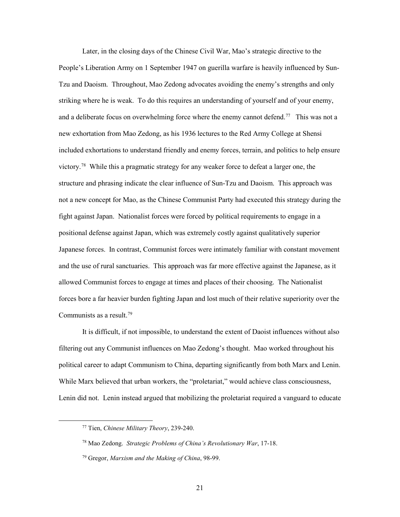and a deliberate focus on overwhelming force where the enemy cannot defend.<sup>[77](#page-28-0)</sup> This was not a victory.<sup>[78](#page-28-1)</sup> While this a pragmatic strategy for any weaker force to defeat a larger one, the structure and phrasing indicate the clear influence of Sun-Tzu and Daoism. This approach was Japanese forces. In contrast, Communist forces were intimately familiar with constant movement and the use of rural sanctuaries. This approach was far more effective against the Japanese, as it allowed Communist forces to engage at times and places of their choosing. The Nationalist forces bore a far heavier burden fighting Japan and lost much of their relative superiority over the Communists as a result.<sup>79</sup> Later, in the closing days of the Chinese Civil War, Mao's strategic directive to the People's Liberation Army on 1 September 1947 on guerilla warfare is heavily influenced by Sun-Tzu and Daoism. Throughout, Mao Zedong advocates avoiding the enemy's strengths and only striking where he is weak. To do this requires an understanding of yourself and of your enemy, new exhortation from Mao Zedong, as his 1936 lectures to the Red Army College at Shensi included exhortations to understand friendly and enemy forces, terrain, and politics to help ensure not a new concept for Mao, as the Chinese Communist Party had executed this strategy during the fight against Japan. Nationalist forces were forced by political requirements to engage in a positional defense against Japan, which was extremely costly against qualitatively superior

 political career to adapt Communism to China, departing significantly from both Marx and Lenin. It is difficult, if not impossible, to understand the extent of Daoist influences without also filtering out any Communist influences on Mao Zedong's thought. Mao worked throughout his While Marx believed that urban workers, the "proletariat," would achieve class consciousness, Lenin did not. Lenin instead argued that mobilizing the proletariat required a vanguard to educate

<span id="page-28-0"></span><sup>77</sup> Tien, *Chinese Military Theory*, 239-240.

<span id="page-28-1"></span><sup>78</sup> Mao Zedong. *Strategic Problems of China's Revolutionary War*, 17-18.

<span id="page-28-2"></span><sup>&</sup>lt;sup>79</sup> Gregor, *Marxism and the Making of China*, 98-99.<br>21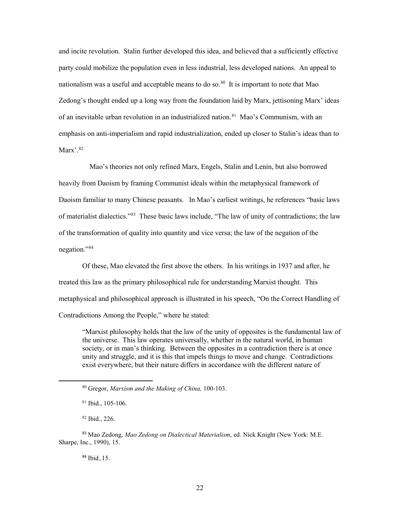party could mobilize the population even in less industrial, less developed nations. An appeal to nationalism was a useful and acceptable means to do so.<sup>80</sup> It is important to note that Mao Zedong's thought ended up a long way from the foundation laid by Marx, jettisoning Marx' ideas of an inevitable urban revolution in an industrialized nation.<sup>81</sup> Mao's Communism, with an and incite revolution. Stalin further developed this idea, and believed that a sufficiently effective emphasis on anti-imperialism and rapid industrialization, ended up closer to Stalin's ideas than to Marx'.<sup>82</sup>

 Daoism familiar to many Chinese peasants. In Mao's earliest writings, he references "basic laws of materialist dialectics."<sup>83</sup> These basic laws include, "The law of unity of contradictions; the law negation."[84](#page-29-4) Mao's theories not only refined Marx, Engels, Stalin and Lenin, but also borrowed heavily from Daoism by framing Communist ideals within the metaphysical framework of of the transformation of quality into quantity and vice versa; the law of the negation of the

 Of these, Mao elevated the first above the others. In his writings in 1937 and after, he treated this law as the primary philosophical rule for understanding Marxist thought. This metaphysical and philosophical approach is illustrated in his speech, "On the Correct Handling of Contradictions Among the People," where he stated:

 "Marxist philosophy holds that the law of the unity of opposites is the fundamental law of society, or in man's thinking. Between the opposites in a contradiction there is at once unity and struggle, and it is this that impels things to move and change. Contradictions the universe. This law operates universally, whether in the natural world, in human exist everywhere, but their nature differs in accordance with the different nature of

82 Ibid., 226.

<span id="page-29-1"></span><span id="page-29-0"></span> $\overline{a}$ 

<sup>84</sup>Ibid.*,*15.

 80 Gregor, *Marxism and the Making of China,* 100-103.

 $81$  Ibid., 105-106.

<span id="page-29-4"></span><span id="page-29-3"></span><span id="page-29-2"></span><sup>83</sup>Mao Zedong, *Mao Zedong on Dialectical Materialism*, ed. Nick Knight (New York: M.E. Sharpe, Inc., 1990), 15.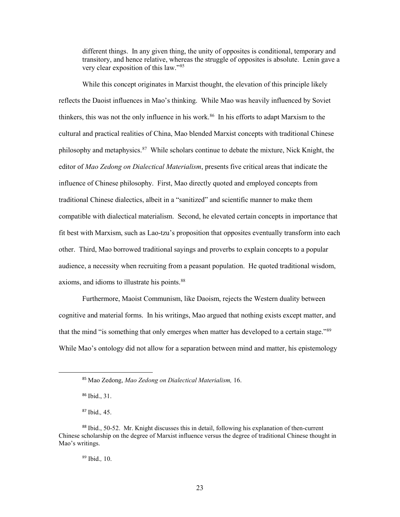very clear exposition of this law."[85](#page-30-0) different things. In any given thing, the unity of opposites is conditional, temporary and transitory, and hence relative, whereas the struggle of opposites is absolute. Lenin gave a

 While this concept originates in Marxist thought, the elevation of this principle likely reflects the Daoist influences in Mao's thinking. While Mao was heavily influenced by Soviet thinkers, this was not the only influence in his work.<sup>[86](#page-30-1)</sup> In his efforts to adapt Marxism to the philosophy and metaphysics.<sup>87</sup> While scholars continue to debate the mixture, Nick Knight, the influence of Chinese philosophy. First, Mao directly quoted and employed concepts from other. Third, Mao borrowed traditional sayings and proverbs to explain concepts to a popular axioms, and idioms to illustrate his points.<sup>88</sup> cultural and practical realities of China, Mao blended Marxist concepts with traditional Chinese editor of *Mao Zedong on Dialectical Materialism*, presents five critical areas that indicate the traditional Chinese dialectics, albeit in a "sanitized" and scientific manner to make them compatible with dialectical materialism. Second, he elevated certain concepts in importance that fit best with Marxism, such as Lao-tzu's proposition that opposites eventually transform into each audience, a necessity when recruiting from a peasant population. He quoted traditional wisdom,

that the mind "is something that only emerges when matter has developed to a certain stage."<sup>[89](#page-30-4)</sup> Furthermore, Maoist Communism, like Daoism, rejects the Western duality between cognitive and material forms. In his writings, Mao argued that nothing exists except matter, and While Mao's ontology did not allow for a separation between mind and matter, his epistemology

<sup>85</sup>Mao Zedong, *Mao Zedong on Dialectical Materialism,* 16.

<sup>86</sup> Ibid., 31.

 <sup>87</sup>Ibid.*,* 45.

<span id="page-30-4"></span><span id="page-30-3"></span><span id="page-30-2"></span><span id="page-30-1"></span><span id="page-30-0"></span> Mao's writings. 89 Ibid.*,* 10. 88 Ibid., 50-52. Mr. Knight discusses this in detail, following his explanation of then-current Chinese scholarship on the degree of Marxist influence versus the degree of traditional Chinese thought in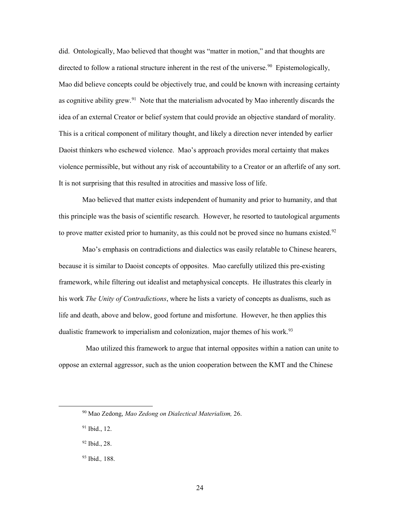directed to follow a rational structure inherent in the rest of the universe.<sup>90</sup> Epistemologically, Mao did believe concepts could be objectively true, and could be known with increasing certainty as cognitive ability grew.<sup>91</sup> Note that the materialism advocated by Mao inherently discards the This is a critical component of military thought, and likely a direction never intended by earlier Daoist thinkers who eschewed violence. Mao's approach provides moral certainty that makes violence permissible, but without any risk of accountability to a Creator or an afterlife of any sort. It is not surprising that this resulted in atrocities and massive loss of life. did. Ontologically, Mao believed that thought was "matter in motion," and that thoughts are idea of an external Creator or belief system that could provide an objective standard of morality.

to prove matter existed prior to humanity, as this could not be proved since no humans existed.<sup>92</sup> Mao believed that matter exists independent of humanity and prior to humanity, and that this principle was the basis of scientific research. However, he resorted to tautological arguments

 because it is similar to Daoist concepts of opposites. Mao carefully utilized this pre-existing framework, while filtering out idealist and metaphysical concepts. He illustrates this clearly in his work *The Unity of Contradictions*, where he lists a variety of concepts as dualisms, such as dualistic framework to imperialism and colonization, major themes of his work.<sup>93</sup> Mao's emphasis on contradictions and dialectics was easily relatable to Chinese hearers, life and death, above and below, good fortune and misfortune. However, he then applies this

 oppose an external aggressor, such as the union cooperation between the KMT and the Chinese Mao utilized this framework to argue that internal opposites within a nation can unite to

<span id="page-31-0"></span><sup>90</sup> Mao Zedong, *Mao Zedong on Dialectical Materialism,* 26.

<span id="page-31-1"></span><sup>&</sup>lt;sup>91</sup> Ibid., 12.

<span id="page-31-2"></span> 92 Ibid., 28.

<span id="page-31-3"></span> 93 Ibid.*,* 188.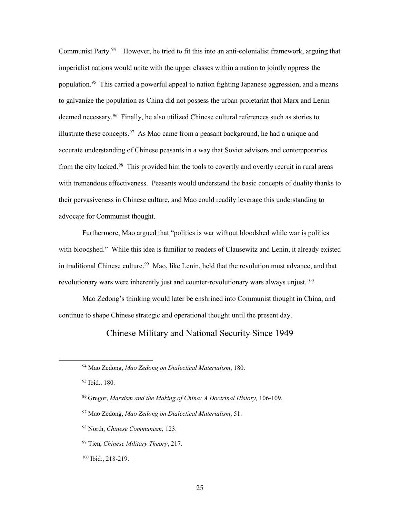Communist Party.<sup>[94](#page-32-1)</sup> However, he tried to fit this into an anti-colonialist framework, arguing that imperialist nations would unite with the upper classes within a nation to jointly oppress the population.<sup>[95](#page-32-2)</sup> This carried a powerful appeal to nation fighting Japanese aggression, and a means deemed necessary.<sup>96</sup> Finally, he also utilized Chinese cultural references such as stories to illustrate these concepts.<sup>97</sup> As Mao came from a peasant background, he had a unique and from the city lacked.<sup>98</sup> This provided him the tools to covertly and overtly recruit in rural areas with tremendous effectiveness. Peasants would understand the basic concepts of duality thanks to their pervasiveness in Chinese culture, and Mao could readily leverage this understanding to to galvanize the population as China did not possess the urban proletariat that Marx and Lenin accurate understanding of Chinese peasants in a way that Soviet advisors and contemporaries advocate for Communist thought.

 Furthermore, Mao argued that "politics is war without bloodshed while war is politics with bloodshed." While this idea is familiar to readers of Clausewitz and Lenin, it already existed in traditional Chinese culture.<sup>[99](#page-32-6)</sup> Mao, like Lenin, held that the revolution must advance, and that revolutionary wars were inherently just and counter-revolutionary wars always unjust.<sup>[100](#page-32-7)</sup>

<span id="page-32-0"></span> continue to shape Chinese strategic and operational thought until the present day. Mao Zedong's thinking would later be enshrined into Communist thought in China, and

Chinese Military and National Security Since 1949

- <span id="page-32-3"></span><sup>96</sup> Gregor, Marxism and the Making of China: A Doctrinal History, 106-109.
- <span id="page-32-4"></span><sup>97</sup> Mao Zedong, *Mao Zedong on Dialectical Materialism*, 51.
- <span id="page-32-5"></span>98 North, *Chinese Communism*, 123.
- <span id="page-32-6"></span>99 Tien, *Chinese Military Theory*, 217.
- <span id="page-32-7"></span>100 Ibid., 218-219.

<span id="page-32-1"></span><sup>94</sup> Mao Zedong, *Mao Zedong on Dialectical Materialism*, 180.

<span id="page-32-2"></span> 95 Ibid., 180.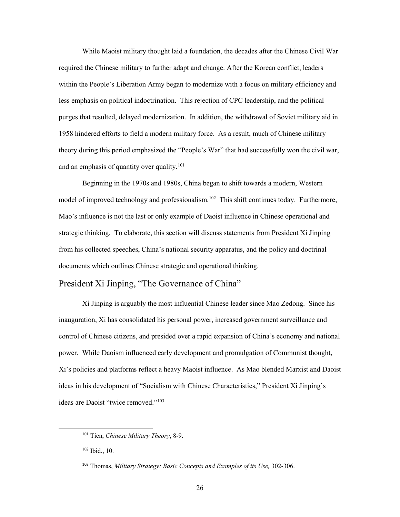required the Chinese military to further adapt and change. After the Korean conflict, leaders and an emphasis of quantity over quality.<sup>101</sup> While Maoist military thought laid a foundation, the decades after the Chinese Civil War within the People's Liberation Army began to modernize with a focus on military efficiency and less emphasis on political indoctrination. This rejection of CPC leadership, and the political purges that resulted, delayed modernization. In addition, the withdrawal of Soviet military aid in 1958 hindered efforts to field a modern military force. As a result, much of Chinese military theory during this period emphasized the "People's War" that had successfully won the civil war,

model of improved technology and professionalism.<sup>102</sup> This shift continues today. Furthermore, Mao's influence is not the last or only example of Daoist influence in Chinese operational and strategic thinking. To elaborate, this section will discuss statements from President Xi Jinping from his collected speeches, China's national security apparatus, and the policy and doctrinal documents which outlines Chinese strategic and operational thinking. Beginning in the 1970s and 1980s, China began to shift towards a modern, Western

## <span id="page-33-0"></span>President Xi Jinping, "The Governance of China"

Xi Jinping is arguably the most influential Chinese leader since Mao Zedong. Since his inauguration, Xi has consolidated his personal power, increased government surveillance and control of Chinese citizens, and presided over a rapid expansion of China's economy and national power. While Daoism influenced early development and promulgation of Communist thought, Xi's policies and platforms reflect a heavy Maoist influence. As Mao blended Marxist and Daoist ideas in his development of "Socialism with Chinese Characteristics," President Xi Jinping's ideas are Daoist "twice removed."[103](#page-33-3) 

<span id="page-33-1"></span><sup>101</sup> Tien, *Chinese Military Theory*, 8-9.

<span id="page-33-2"></span> 102 Ibid., 10.

<span id="page-33-3"></span><sup>103</sup>Thomas, *Military Strategy: Basic Concepts and Examples of its Use,* 302-306.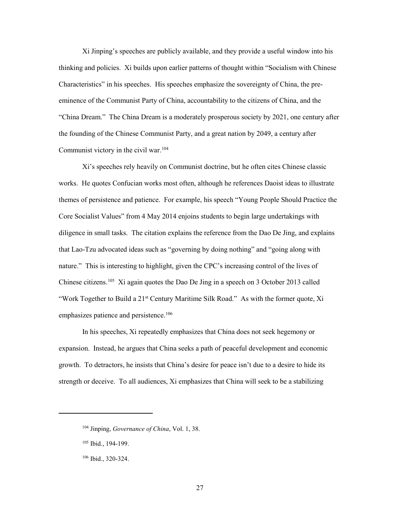Communist victory in the civil war.<sup>[104](#page-34-0)</sup> Xi Jinping's speeches are publicly available, and they provide a useful window into his thinking and policies. Xi builds upon earlier patterns of thought within "Socialism with Chinese Characteristics" in his speeches. His speeches emphasize the sovereignty of China, the preeminence of the Communist Party of China, accountability to the citizens of China, and the "China Dream." The China Dream is a moderately prosperous society by 2021, one century after the founding of the Chinese Communist Party, and a great nation by 2049, a century after

 Core Socialist Values" from 4 May 2014 enjoins students to begin large undertakings with nature." This is interesting to highlight, given the CPC's increasing control of the lives of Chinese citizens.<sup>[105](#page-34-1)</sup> Xi again quotes the Dao De Jing in a speech on 3 October 2013 called "Work Together to Build a 21<sup>st</sup> Century Maritime Silk Road." As with the former quote, Xi Xi's speeches rely heavily on Communist doctrine, but he often cites Chinese classic works. He quotes Confucian works most often, although he references Daoist ideas to illustrate themes of persistence and patience. For example, his speech "Young People Should Practice the diligence in small tasks. The citation explains the reference from the Dao De Jing, and explains that Lao-Tzu advocated ideas such as "governing by doing nothing" and "going along with emphasizes patience and persistence.<sup>[106](#page-34-2)</sup>

 growth. To detractors, he insists that China's desire for peace isn't due to a desire to hide its strength or deceive. To all audiences, Xi emphasizes that China will seek to be a stabilizing In his speeches, Xi repeatedly emphasizes that China does not seek hegemony or expansion. Instead, he argues that China seeks a path of peaceful development and economic

<span id="page-34-0"></span> 104 Jinping, *Governance of China*, Vol. 1, 38.

<span id="page-34-1"></span><sup>105</sup> Ibid., 194-199.

<span id="page-34-2"></span><sup>106</sup> Ibid., 320-324.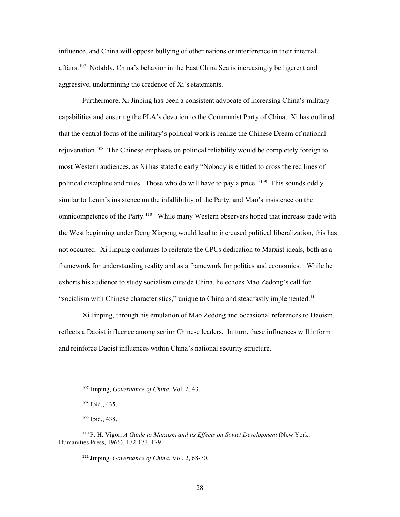affairs.<sup>107</sup> Notably, China's behavior in the East China Sea is increasingly belligerent and aggressive, undermining the credence of Xi's statements. influence, and China will oppose bullying of other nations or interference in their internal

 aggressive, undermining the credence of Xi's statements. Furthermore, Xi Jinping has been a consistent advocate of increasing China's military rejuvenation.<sup>108</sup> The Chinese emphasis on political reliability would be completely foreign to political discipline and rules. Those who do will have to pay a price."<sup>[109](#page-35-2)</sup> This sounds oddly similar to Lenin's insistence on the infallibility of the Party, and Mao's insistence on the omnicompetence of the Party.<sup>110</sup> While many Western observers hoped that increase trade with exhorts his audience to study socialism outside China, he echoes Mao Zedong's call for "socialism with Chinese characteristics," unique to China and steadfastly implemented.<sup>111</sup> capabilities and ensuring the PLA's devotion to the Communist Party of China. Xi has outlined that the central focus of the military's political work is realize the Chinese Dream of national most Western audiences, as Xi has stated clearly "Nobody is entitled to cross the red lines of the West beginning under Deng Xiapong would lead to increased political liberalization, this has not occurred. Xi Jinping continues to reiterate the CPCs dedication to Marxist ideals, both as a framework for understanding reality and as a framework for politics and economics. While he

 reflects a Daoist influence among senior Chinese leaders. In turn, these influences will inform Xi Jinping, through his emulation of Mao Zedong and occasional references to Daoism, and reinforce Daoist influences within China's national security structure.

<span id="page-35-1"></span><span id="page-35-0"></span> $\overline{a}$ 

<sup>111</sup> Jinping, *Governance of China*, Vol. 2, 68-70.

 107 Jinping, *Governance of China*, Vol. 2, 43.

 108 Ibid., 435.

 109 Ibid., 438.

<span id="page-35-4"></span><span id="page-35-3"></span><span id="page-35-2"></span><sup>&</sup>lt;sup>110</sup> P. H. Vigor, *A Guide to Marxism and its Effects on Soviet Development* (New York: Humanities Press, 1966), 172-173, 179.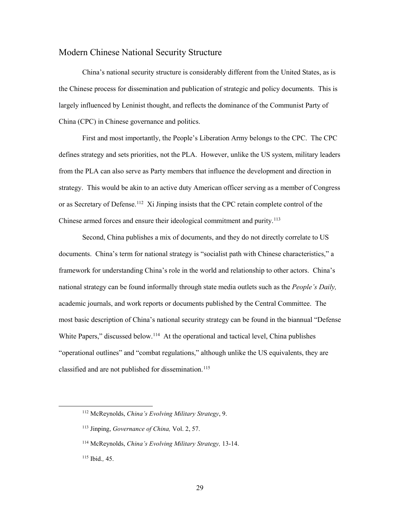#### <span id="page-36-0"></span>Modern Chinese National Security Structure

 the Chinese process for dissemination and publication of strategic and policy documents. This is largely influenced by Leninist thought, and reflects the dominance of the Communist Party of China (CPC) in Chinese governance and politics. China's national security structure is considerably different from the United States, as is

or as Secretary of Defense.<sup>112</sup> Xi Jinping insists that the CPC retain complete control of the Chinese armed forces and ensure their ideological commitment and purity.<sup>113</sup> First and most importantly, the People's Liberation Army belongs to the CPC. The CPC defines strategy and sets priorities, not the PLA. However, unlike the US system, military leaders from the PLA can also serve as Party members that influence the development and direction in strategy. This would be akin to an active duty American officer serving as a member of Congress

 Second, China publishes a mix of documents, and they do not directly correlate to US framework for understanding China's role in the world and relationship to other actors. China's national strategy can be found informally through state media outlets such as the *People's Daily,*  academic journals, and work reports or documents published by the Central Committee. The most basic description of China's national security strategy can be found in the biannual "Defense White Papers," discussed below.<sup>114</sup> At the operational and tactical level, China publishes documents. China's term for national strategy is "socialist path with Chinese characteristics," a "operational outlines" and "combat regulations," although unlike the US equivalents, they are classified and are not published for dissemination.<sup>115</sup>

<span id="page-36-1"></span><sup>112</sup> McReynolds, *China's Evolving Military Strategy*, 9.

<span id="page-36-2"></span> 113 Jinping, *Governance of China,* Vol. 2, 57.

<span id="page-36-3"></span> 114 McReynolds, *China's Evolving Military Strategy,* 13-14.

<span id="page-36-4"></span> 115 Ibid.*,* 45.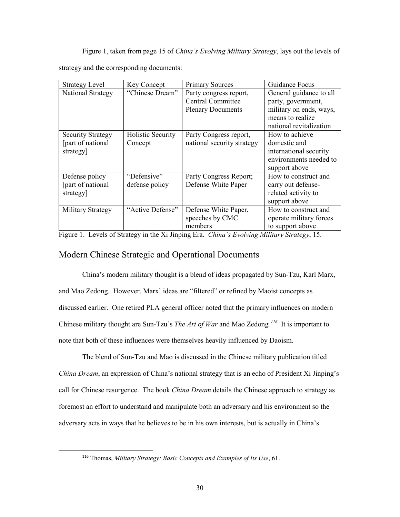Figure 1, taken from page 15 of *China's Evolving Military Strategy*, lays out the levels of

strategy and the corresponding documents:

| <b>Strategy Level</b>    | Key Concept       | <b>Primary Sources</b>     | Guidance Focus          |
|--------------------------|-------------------|----------------------------|-------------------------|
| National Strategy        | "Chinese Dream"   | Party congress report,     | General guidance to all |
|                          |                   | <b>Central Committee</b>   | party, government,      |
|                          |                   | <b>Plenary Documents</b>   | military on ends, ways, |
|                          |                   |                            | means to realize        |
|                          |                   |                            | national revitalization |
| <b>Security Strategy</b> | Holistic Security | Party Congress report,     | How to achieve          |
| [part of national]       | Concept           | national security strategy | domestic and            |
| strategy                 |                   |                            | international security  |
|                          |                   |                            | environments needed to  |
|                          |                   |                            | support above           |
| Defense policy           | "Defensive"       | Party Congress Report;     | How to construct and    |
| [part of national        | defense policy    | Defense White Paper        | carry out defense-      |
| strategy]                |                   |                            | related activity to     |
|                          |                   |                            | support above           |
| Military Strategy        | "Active Defense"  | Defense White Paper,       | How to construct and    |
|                          |                   | speeches by CMC            | operate military forces |
|                          |                   | members                    | to support above        |

Figure 1. Levels of Strategy in the Xi Jinping Era. *China's Evolving Military Strategy*, 15.

# <span id="page-37-0"></span>Modern Chinese Strategic and Operational Documents

 Chinese military thought are Sun-Tzu's *The Art of War* and Mao Zedong*. [116](#page-37-1)* It is important to China's modern military thought is a blend of ideas propagated by Sun-Tzu, Karl Marx, and Mao Zedong. However, Marx' ideas are "filtered" or refined by Maoist concepts as discussed earlier. One retired PLA general officer noted that the primary influences on modern note that both of these influences were themselves heavily influenced by Daoism.

 *China Dream*, an expression of China's national strategy that is an echo of President Xi Jinping's foremost an effort to understand and manipulate both an adversary and his environment so the The blend of Sun-Tzu and Mao is discussed in the Chinese military publication titled call for Chinese resurgence. The book *China Dream* details the Chinese approach to strategy as adversary acts in ways that he believes to be in his own interests, but is actually in China's

<span id="page-37-1"></span> 116 Thomas, *Military Strategy: Basic Concepts and Examples of Its Use*, 61. 30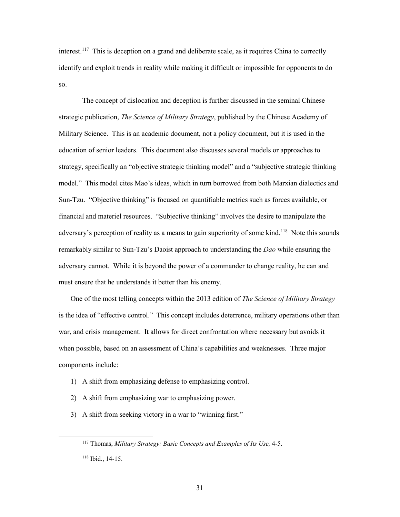interest.<sup>[117](#page-38-0)</sup> This is deception on a grand and deliberate scale, as it requires China to correctly identify and exploit trends in reality while making it difficult or impossible for opponents to do so.

 The concept of dislocation and deception is further discussed in the seminal Chinese strategic publication, *The Science of Military Strategy*, published by the Chinese Academy of Military Science. This is an academic document, not a policy document, but it is used in the education of senior leaders. This document also discusses several models or approaches to model." This model cites Mao's ideas, which in turn borrowed from both Marxian dialectics and financial and materiel resources. "Subjective thinking" involves the desire to manipulate the adversary's perception of reality as a means to gain superiority of some kind.<sup>[118](#page-38-1)</sup> Note this sounds remarkably similar to Sun-Tzu's Daoist approach to understanding the *Dao* while ensuring the adversary cannot. While it is beyond the power of a commander to change reality, he can and strategy, specifically an "objective strategic thinking model" and a "subjective strategic thinking Sun-Tzu. "Objective thinking" is focused on quantifiable metrics such as forces available, or must ensure that he understands it better than his enemy.

 when possible, based on an assessment of China's capabilities and weaknesses. Three major components include: One of the most telling concepts within the 2013 edition of *The Science of Military Strategy*  is the idea of "effective control." This concept includes deterrence, military operations other than war, and crisis management. It allows for direct confrontation where necessary but avoids it

- 1) A shift from emphasizing defense to emphasizing control.
- 2) A shift from emphasizing war to emphasizing power.

- <span id="page-38-1"></span><span id="page-38-0"></span>3) A shift from seeking victory in a war to "winning first."
	- 117 Thomas, *Military Strategy: Basic Concepts and Examples of Its Use,* 4-5.  $118$  Ibid., 14-15.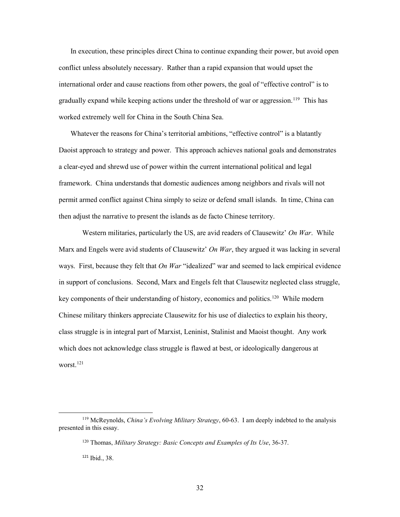In execution, these principles direct China to continue expanding their power, but avoid open conflict unless absolutely necessary. Rather than a rapid expansion that would upset the international order and cause reactions from other powers, the goal of "effective control" is to gradually expand while keeping actions under the threshold of war or aggression.<sup>[119](#page-39-0)</sup> This has worked extremely well for China in the South China Sea.

 framework. China understands that domestic audiences among neighbors and rivals will not then adjust the narrative to present the islands as de facto Chinese territory. Whatever the reasons for China's territorial ambitions, "effective control" is a blatantly Daoist approach to strategy and power. This approach achieves national goals and demonstrates a clear-eyed and shrewd use of power within the current international political and legal permit armed conflict against China simply to seize or defend small islands. In time, China can

 ways. First, because they felt that *On War* "idealized" war and seemed to lack empirical evidence in support of conclusions. Second, Marx and Engels felt that Clausewitz neglected class struggle, key components of their understanding of history, economics and politics.<sup>120</sup> While modern which does not acknowledge class struggle is flawed at best, or ideologically dangerous at worst. [121](#page-39-2) Western militaries, particularly the US, are avid readers of Clausewitz' *On War*. While Marx and Engels were avid students of Clausewitz' *On War*, they argued it was lacking in several Chinese military thinkers appreciate Clausewitz for his use of dialectics to explain his theory, class struggle is in integral part of Marxist, Leninist, Stalinist and Maoist thought. Any work

<span id="page-39-2"></span><span id="page-39-1"></span><span id="page-39-0"></span> 119 McReynolds, *China's Evolving Military Strategy*, 60-63. I am deeply indebted to the analysis presented in this essay.

<sup>120</sup> Thomas, *Military Strategy: Basic Concepts and Examples of Its Use*, 36-37.

<sup>121</sup> Ibid., 38.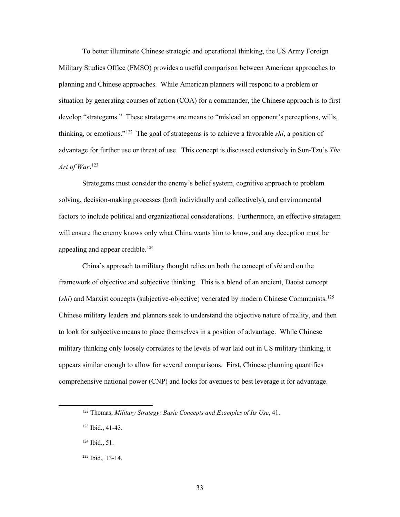situation by generating courses of action (COA) for a commander, the Chinese approach is to first develop "strategems." These stratagems are means to "mislead an opponent's perceptions, wills, thinking, or emotions."[122](#page-40-0) The goal of strategems is to achieve a favorable *shi*, a position of advantage for further use or threat of use. This concept is discussed extensively in Sun-Tzu's *The*  To better illuminate Chinese strategic and operational thinking, the US Army Foreign Military Studies Office (FMSO) provides a useful comparison between American approaches to planning and Chinese approaches. While American planners will respond to a problem or *Art of War*. [123](#page-40-1) 

 will ensure the enemy knows only what China wants him to know, and any deception must be appealing and appear credible.<sup>[124](#page-40-2)</sup> Strategems must consider the enemy's belief system, cognitive approach to problem solving, decision-making processes (both individually and collectively), and environmental factors to include political and organizational considerations. Furthermore, an effective stratagem

 China's approach to military thought relies on both the concept of *shi* and on the framework of objective and subjective thinking. This is a blend of an ancient, Daoist concept (*shi*) and Marxist concepts (subjective-objective) venerated by modern Chinese Communists.[125](#page-40-3)  to look for subjective means to place themselves in a position of advantage. While Chinese military thinking only loosely correlates to the levels of war laid out in US military thinking, it appears similar enough to allow for several comparisons. First, Chinese planning quantifies comprehensive national power (CNP) and looks for avenues to best leverage it for advantage. Chinese military leaders and planners seek to understand the objective nature of reality, and then

<span id="page-40-0"></span><sup>122</sup> Thomas, *Military Strategy: Basic Concepts and Examples of Its Use*, 41.

<span id="page-40-1"></span> 123 Ibid., 41-43.

<span id="page-40-2"></span> 124 Ibid., 51.

<span id="page-40-3"></span><sup>125</sup> Ibid., 13-14. 125 Ibid.*,* 13-14. 33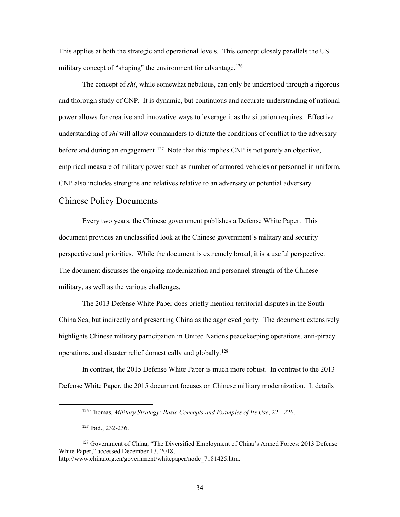military concept of "shaping" the environment for advantage.<sup>126</sup> This applies at both the strategic and operational levels. This concept closely parallels the US

 understanding of *shi* will allow commanders to dictate the conditions of conflict to the adversary before and during an engagement.<sup>127</sup> Note that this implies CNP is not purely an objective, empirical measure of military power such as number of armored vehicles or personnel in uniform. CNP also includes strengths and relatives relative to an adversary or potential adversary. Chinese Policy Documents The concept of *shi*, while somewhat nebulous, can only be understood through a rigorous and thorough study of CNP. It is dynamic, but continuous and accurate understanding of national power allows for creative and innovative ways to leverage it as the situation requires. Effective

 Every two years, the Chinese government publishes a Defense White Paper. This document provides an unclassified look at the Chinese government's military and security perspective and priorities. While the document is extremely broad, it is a useful perspective. The document discusses the ongoing modernization and personnel strength of the Chinese military, as well as the various challenges.

 military, as well as the various challenges. The 2013 Defense White Paper does briefly mention territorial disputes in the South China Sea, but indirectly and presenting China as the aggrieved party. The document extensively operations, and disaster relief domestically and globally.<sup>128</sup> highlights Chinese military participation in United Nations peacekeeping operations, anti-piracy

In contrast, the 2015 Defense White Paper is much more robust. In contrast to the 2013 Defense White Paper, the 2015 document focuses on Chinese military modernization. It details

<sup>126</sup>Thomas, *Military Strategy: Basic Concepts and Examples of Its Use*, 221-226.

<sup>&</sup>lt;sup>127</sup> Ibid., 232-236.

<span id="page-41-2"></span><span id="page-41-1"></span><span id="page-41-0"></span><sup>&</sup>lt;sup>128</sup> Government of China, "The Diversified Employment of China's Armed Forces: 2013 Defense White Paper," accessed December 13, 2018, [http://www.china.org.cn/government/whitepaper/node\\_7181425.htm.](http://www.china.org.cn/government/whitepaper/node_7181425.htm)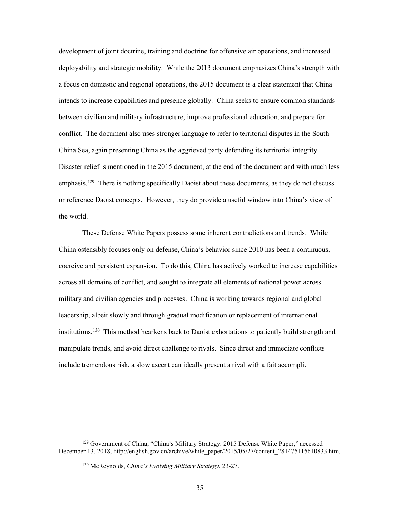development of joint doctrine, training and doctrine for offensive air operations, and increased intends to increase capabilities and presence globally. China seeks to ensure common standards between civilian and military infrastructure, improve professional education, and prepare for conflict. The document also uses stronger language to refer to territorial disputes in the South Disaster relief is mentioned in the 2015 document, at the end of the document and with much less emphasis.<sup>129</sup> There is nothing specifically Daoist about these documents, as they do not discuss deployability and strategic mobility. While the 2013 document emphasizes China's strength with a focus on domestic and regional operations, the 2015 document is a clear statement that China China Sea, again presenting China as the aggrieved party defending its territorial integrity. or reference Daoist concepts. However, they do provide a useful window into China's view of the world.

 These Defense White Papers possess some inherent contradictions and trends. While coercive and persistent expansion. To do this, China has actively worked to increase capabilities across all domains of conflict, and sought to integrate all elements of national power across military and civilian agencies and processes. China is working towards regional and global institutions.<sup>130</sup> This method hearkens back to Daoist exhortations to patiently build strength and include tremendous risk, a slow ascent can ideally present a rival with a fait accompli. China ostensibly focuses only on defense, China's behavior since 2010 has been a continuous, leadership, albeit slowly and through gradual modification or replacement of international manipulate trends, and avoid direct challenge to rivals. Since direct and immediate conflicts

<span id="page-42-2"></span><span id="page-42-1"></span><span id="page-42-0"></span><sup>129</sup> Government of China, "China's Military Strategy: 2015 Defense White Paper," accessed December 13, 2018, [http://english.gov.cn/archive/white\\_paper/2015/05/27/content\\_281475115610833.htm.](http://english.gov.cn/archive/white_paper/2015/05/27/content_281475115610833.htm)

<sup>130</sup> McReynolds, *China's Evolving Military Strategy*, 23-27.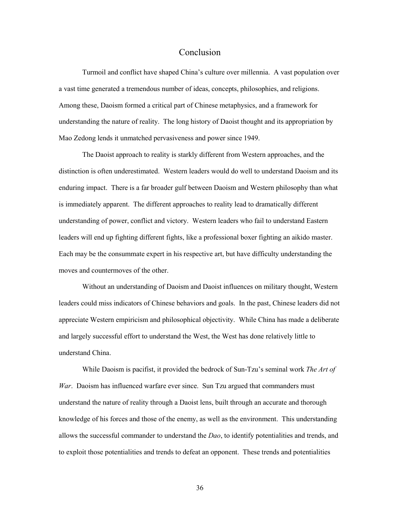#### Conclusion

 Turmoil and conflict have shaped China's culture over millennia. A vast population over understanding the nature of reality. The long history of Daoist thought and its appropriation by Mao Zedong lends it unmatched pervasiveness and power since 1949. a vast time generated a tremendous number of ideas, concepts, philosophies, and religions. Among these, Daoism formed a critical part of Chinese metaphysics, and a framework for

 The Daoist approach to reality is starkly different from Western approaches, and the enduring impact. There is a far broader gulf between Daoism and Western philosophy than what is immediately apparent. The different approaches to reality lead to dramatically different Each may be the consummate expert in his respective art, but have difficulty understanding the moves and countermoves of the other. distinction is often underestimated. Western leaders would do well to understand Daoism and its understanding of power, conflict and victory. Western leaders who fail to understand Eastern leaders will end up fighting different fights, like a professional boxer fighting an aikido master.

 and largely successful effort to understand the West, the West has done relatively little to Without an understanding of Daoism and Daoist influences on military thought, Western leaders could miss indicators of Chinese behaviors and goals. In the past, Chinese leaders did not appreciate Western empiricism and philosophical objectivity. While China has made a deliberate understand China.

 While Daoism is pacifist, it provided the bedrock of Sun-Tzu's seminal work *The Art of War*. Daoism has influenced warfare ever since. Sun Tzu argued that commanders must to exploit those potentialities and trends to defeat an opponent. These trends and potentialities understand the nature of reality through a Daoist lens, built through an accurate and thorough knowledge of his forces and those of the enemy, as well as the environment. This understanding allows the successful commander to understand the *Dao*, to identify potentialities and trends, and

36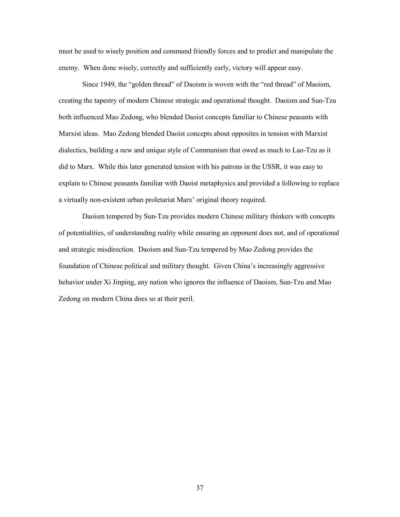must be used to wisely position and command friendly forces and to predict and manipulate the enemy. When done wisely, correctly and sufficiently early, victory will appear easy.

 Since 1949, the "golden thread" of Daoism is woven with the "red thread" of Maoism, both influenced Mao Zedong, who blended Daoist concepts familiar to Chinese peasants with Marxist ideas. Mao Zedong blended Daoist concepts about opposites in tension with Marxist dialectics, building a new and unique style of Communism that owed as much to Lao-Tzu as it did to Marx. While this later generated tension with his patrons in the USSR, it was easy to a virtually non-existent urban proletariat Marx' original theory required. creating the tapestry of modern Chinese strategic and operational thought. Daoism and Sun-Tzu explain to Chinese peasants familiar with Daoist metaphysics and provided a following to replace

 and strategic misdirection. Daoism and Sun-Tzu tempered by Mao Zedong provides the behavior under Xi Jinping, any nation who ignores the influence of Daoism, Sun-Tzu and Mao Zedong on modern China does so at their peril. Daoism tempered by Sun-Tzu provides modern Chinese military thinkers with concepts of potentialities, of understanding reality while ensuring an opponent does not, and of operational foundation of Chinese political and military thought. Given China's increasingly aggressive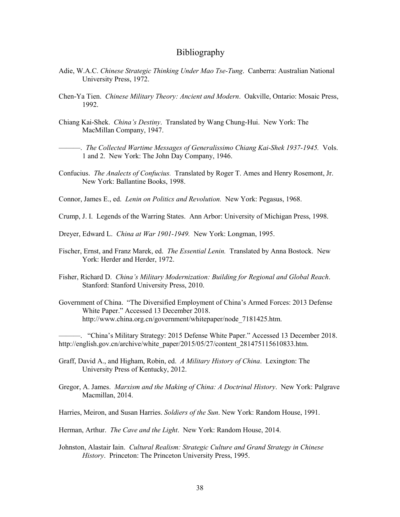#### Bibliography

- Adie, W.A.C. *Chinese Strategic Thinking Under Mao Tse-Tung*. Canberra: Australian National University Press, 1972.
- Chen-Ya Tien. *Chinese Military Theory: Ancient and Modern*. Oakville, Ontario: Mosaic Press, 1992.
- Chiang Kai-Shek. *China's Destiny*. Translated by Wang Chung-Hui. New York: The MacMillan Company, 1947.
- 1 and 2. New York: The John Day Company, 1946. ———. *The Collected Wartime Messages of Generalissimo Chiang Kai-Shek 1937-1945.* Vols.
- Confucius. *The Analects of Confucius.* Translated by Roger T. Ames and Henry Rosemont, Jr. New York: Ballantine Books, 1998.
- Connor, James E., ed. *Lenin on Politics and Revolution.* New York: Pegasus, 1968.
- Crump, J. I. Legends of the Warring States. Ann Arbor: University of Michigan Press, 1998.
- Dreyer, Edward L. *China at War 1901-1949.* New York: Longman, 1995.
- Fischer, Ernst, and Franz Marek, ed. *The Essential Lenin.* Translated by Anna Bostock. New York: Herder and Herder, 1972.
- Fisher, Richard D. *China's Military Modernization: Building for Regional and Global Reach*. Stanford: Stanford University Press, 2010.
- Government of China. "The Diversified Employment of China's Armed Forces: 2013 Defense White Paper." Accessed 13 December 2018. [http://www.china.org.cn/government/whitepaper/node\\_7181425.htm](http://www.china.org.cn/government/whitepaper/node_7181425.htm).

———. "China's Military Strategy: 2015 Defense White Paper." Accessed 13 December 2018. [http://english.gov.cn/archive/white\\_paper/2015/05/27/content\\_281475115610833.htm.](http://english.gov.cn/archive/white_paper/2015/05/27/content_281475115610833.htm)

- Graff, David A., and Higham, Robin, ed. *A Military History of China*. Lexington: The University Press of Kentucky, 2012.
- Gregor, A. James. *Marxism and the Making of China: A Doctrinal History*. New York: Palgrave Macmillan, 2014.
- Harries, Meiron, and Susan Harries. *Soldiers of the Sun*. New York: Random House, 1991.
- Herman, Arthur. *The Cave and the Light*. New York: Random House, 2014.
- Johnston, Alastair Iain. *Cultural Realism: Strategic Culture and Grand Strategy in Chinese History*. Princeton: The Princeton University Press, 1995.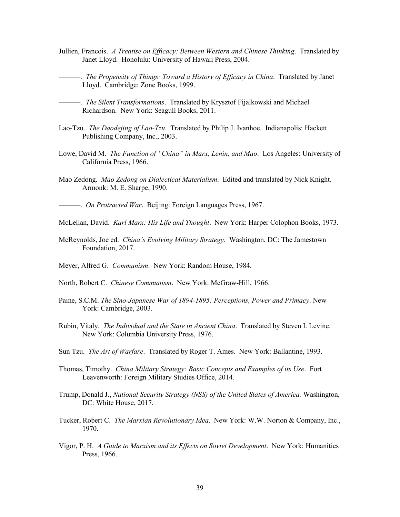- Jullien, Francois. *A Treatise on Efficacy: Between Western and Chinese Thinking*. Translated by Janet Lloyd. Honolulu: University of Hawaii Press, 2004.
- ———. *The Propensity of Things: Toward a History of Efficacy in China*. Translated by Janet Lloyd. Cambridge: Zone Books, 1999.

- Lao-Tzu. *The Daodejing of Lao-Tzu*. Translated by Philip J. Ivanhoe. Indianapolis: Hackett Publishing Company, Inc., 2003.
- Lowe, David M. *The Function of "China" in Marx, Lenin, and Mao*. Los Angeles: University of California Press, 1966.
- Mao Zedong. *Mao Zedong on Dialectical Materialism*. Edited and translated by Nick Knight. Armonk: M. E. Sharpe, 1990.
- ———. *On Protracted War*. Beijing: Foreign Languages Press, 1967.
- McLellan, David. *Karl Marx: His Life and Thought*. New York: Harper Colophon Books, 1973.
- McReynolds, Joe ed. *China's Evolving Military Strategy*. Washington, DC: The Jamestown Foundation, 2017.
- Meyer, Alfred G. *Communism*. New York: Random House, 1984.
- North, Robert C. *Chinese Communism*. New York: McGraw-Hill, 1966.
- Paine, S.C.M. *The Sino-Japanese War of 1894-1895: Perceptions, Power and Primacy*. New York: Cambridge, 2003.
- Rubin, Vitaly. *The Individual and the State in Ancient China*. Translated by Steven I. Levine. New York: Columbia University Press, 1976.
- Sun Tzu. *The Art of Warfare*. Translated by Roger T. Ames. New York: Ballantine, 1993.
- Thomas, Timothy. *China Military Strategy: Basic Concepts and Examples of its Use*. Fort Leavenworth: Foreign Military Studies Office, 2014.
- Trump, Donald J., *National Security Strategy (NSS) of the United States of America.* Washington, DC: White House, 2017.
- Tucker, Robert C. *The Marxian Revolutionary Idea*. New York: W.W. Norton & Company, Inc., 1970.
- Vigor, P. H. *A Guide to Marxism and its Effects on Soviet Development*. New York: Humanities Press, 1966.

 ———. *The Silent Transformations*. Translated by Krysztof Fijalkowski and Michael Richardson. New York: Seagull Books, 2011.